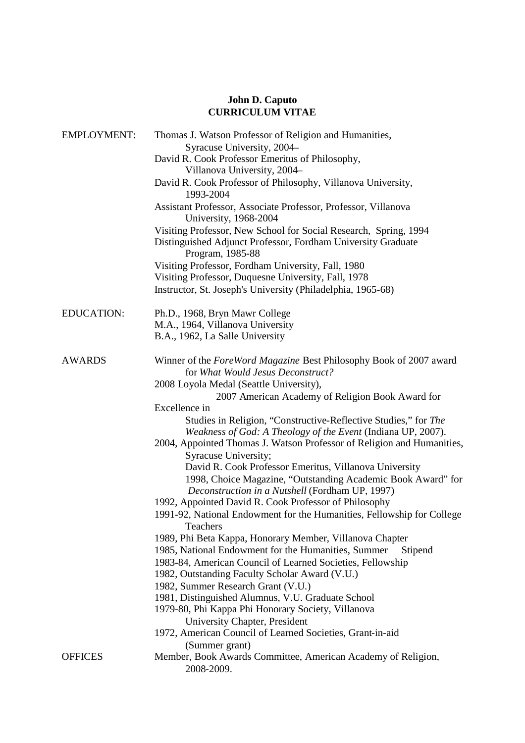# **John D. Caputo CURRICULUM VITAE**

| <b>EMPLOYMENT:</b> | Thomas J. Watson Professor of Religion and Humanities,                                                                                                                                                    |
|--------------------|-----------------------------------------------------------------------------------------------------------------------------------------------------------------------------------------------------------|
|                    | Syracuse University, 2004                                                                                                                                                                                 |
|                    | David R. Cook Professor Emeritus of Philosophy,                                                                                                                                                           |
|                    | Villanova University, 2004-                                                                                                                                                                               |
|                    | David R. Cook Professor of Philosophy, Villanova University,<br>1993-2004                                                                                                                                 |
|                    | Assistant Professor, Associate Professor, Professor, Villanova<br>University, 1968-2004                                                                                                                   |
|                    | Visiting Professor, New School for Social Research, Spring, 1994<br>Distinguished Adjunct Professor, Fordham University Graduate<br>Program, 1985-88                                                      |
|                    | Visiting Professor, Fordham University, Fall, 1980<br>Visiting Professor, Duquesne University, Fall, 1978                                                                                                 |
|                    | Instructor, St. Joseph's University (Philadelphia, 1965-68)                                                                                                                                               |
| <b>EDUCATION:</b>  | Ph.D., 1968, Bryn Mawr College                                                                                                                                                                            |
|                    | M.A., 1964, Villanova University                                                                                                                                                                          |
|                    | B.A., 1962, La Salle University                                                                                                                                                                           |
| <b>AWARDS</b>      | Winner of the ForeWord Magazine Best Philosophy Book of 2007 award<br>for What Would Jesus Deconstruct?                                                                                                   |
|                    | 2008 Loyola Medal (Seattle University),                                                                                                                                                                   |
|                    | 2007 American Academy of Religion Book Award for                                                                                                                                                          |
|                    | Excellence in                                                                                                                                                                                             |
|                    | Studies in Religion, "Constructive-Reflective Studies," for The<br>Weakness of God: A Theology of the Event (Indiana UP, 2007).<br>2004, Appointed Thomas J. Watson Professor of Religion and Humanities, |
|                    | Syracuse University;                                                                                                                                                                                      |
|                    | David R. Cook Professor Emeritus, Villanova University<br>1998, Choice Magazine, "Outstanding Academic Book Award" for<br>Deconstruction in a Nutshell (Fordham UP, 1997)                                 |
|                    | 1992, Appointed David R. Cook Professor of Philosophy                                                                                                                                                     |
|                    | 1991-92, National Endowment for the Humanities, Fellowship for College<br>Teachers                                                                                                                        |
|                    | 1989, Phi Beta Kappa, Honorary Member, Villanova Chapter                                                                                                                                                  |
|                    | 1985, National Endowment for the Humanities, Summer<br>Stipend                                                                                                                                            |
|                    | 1983-84, American Council of Learned Societies, Fellowship                                                                                                                                                |
|                    | 1982, Outstanding Faculty Scholar Award (V.U.)                                                                                                                                                            |
|                    | 1982, Summer Research Grant (V.U.)                                                                                                                                                                        |
|                    | 1981, Distinguished Alumnus, V.U. Graduate School                                                                                                                                                         |
|                    | 1979-80, Phi Kappa Phi Honorary Society, Villanova                                                                                                                                                        |
|                    | University Chapter, President                                                                                                                                                                             |
|                    | 1972, American Council of Learned Societies, Grant-in-aid                                                                                                                                                 |
|                    | (Summer grant)                                                                                                                                                                                            |
| <b>OFFICES</b>     | Member, Book Awards Committee, American Academy of Religion,<br>2008-2009.                                                                                                                                |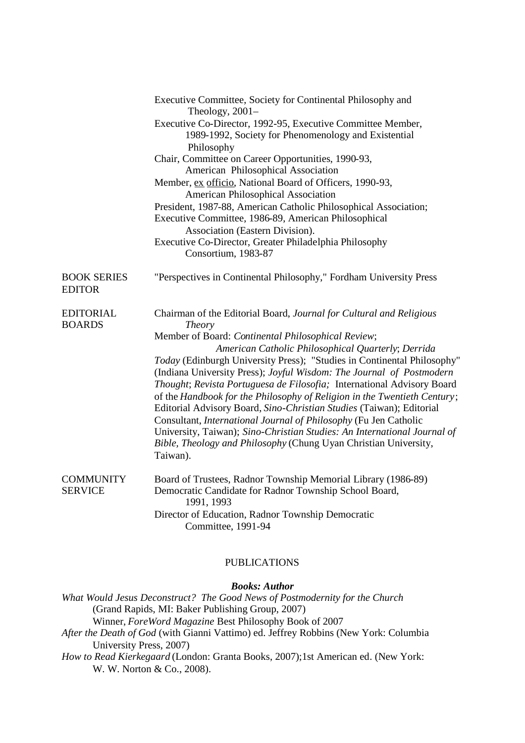|                                     | Executive Committee, Society for Continental Philosophy and<br>Theology, $2001-$                                                                                                                                                                                                                                                                                                                                                                                                                                                                                                                              |
|-------------------------------------|---------------------------------------------------------------------------------------------------------------------------------------------------------------------------------------------------------------------------------------------------------------------------------------------------------------------------------------------------------------------------------------------------------------------------------------------------------------------------------------------------------------------------------------------------------------------------------------------------------------|
|                                     | Executive Co-Director, 1992-95, Executive Committee Member,<br>1989-1992, Society for Phenomenology and Existential<br>Philosophy                                                                                                                                                                                                                                                                                                                                                                                                                                                                             |
|                                     | Chair, Committee on Career Opportunities, 1990-93,                                                                                                                                                                                                                                                                                                                                                                                                                                                                                                                                                            |
|                                     | American Philosophical Association                                                                                                                                                                                                                                                                                                                                                                                                                                                                                                                                                                            |
|                                     | Member, ex officio, National Board of Officers, 1990-93,                                                                                                                                                                                                                                                                                                                                                                                                                                                                                                                                                      |
|                                     | <b>American Philosophical Association</b>                                                                                                                                                                                                                                                                                                                                                                                                                                                                                                                                                                     |
|                                     | President, 1987-88, American Catholic Philosophical Association;                                                                                                                                                                                                                                                                                                                                                                                                                                                                                                                                              |
|                                     | Executive Committee, 1986-89, American Philosophical                                                                                                                                                                                                                                                                                                                                                                                                                                                                                                                                                          |
|                                     | Association (Eastern Division).                                                                                                                                                                                                                                                                                                                                                                                                                                                                                                                                                                               |
|                                     | Executive Co-Director, Greater Philadelphia Philosophy<br>Consortium, 1983-87                                                                                                                                                                                                                                                                                                                                                                                                                                                                                                                                 |
| <b>BOOK SERIES</b><br><b>EDITOR</b> | "Perspectives in Continental Philosophy," Fordham University Press                                                                                                                                                                                                                                                                                                                                                                                                                                                                                                                                            |
| <b>EDITORIAL</b><br><b>BOARDS</b>   | Chairman of the Editorial Board, Journal for Cultural and Religious<br><b>Theory</b>                                                                                                                                                                                                                                                                                                                                                                                                                                                                                                                          |
|                                     | Member of Board: Continental Philosophical Review;                                                                                                                                                                                                                                                                                                                                                                                                                                                                                                                                                            |
|                                     | American Catholic Philosophical Quarterly; Derrida                                                                                                                                                                                                                                                                                                                                                                                                                                                                                                                                                            |
|                                     | Today (Edinburgh University Press); "Studies in Continental Philosophy"<br>(Indiana University Press); Joyful Wisdom: The Journal of Postmodern<br>Thought; Revista Portuguesa de Filosofia; International Advisory Board<br>of the Handbook for the Philosophy of Religion in the Twentieth Century;<br>Editorial Advisory Board, Sino-Christian Studies (Taiwan); Editorial<br>Consultant, International Journal of Philosophy (Fu Jen Catholic<br>University, Taiwan); Sino-Christian Studies: An International Journal of<br>Bible, Theology and Philosophy (Chung Uyan Christian University,<br>Taiwan). |
| <b>COMMUNITY</b><br><b>SERVICE</b>  | Board of Trustees, Radnor Township Memorial Library (1986-89)<br>Democratic Candidate for Radnor Township School Board,<br>1991, 1993                                                                                                                                                                                                                                                                                                                                                                                                                                                                         |
|                                     | Director of Education, Radnor Township Democratic<br>Committee, 1991-94                                                                                                                                                                                                                                                                                                                                                                                                                                                                                                                                       |

# PUBLICATIONS

#### *Books: Author*

*What Would Jesus Deconstruct? The Good News of Postmodernity for the Church*  (Grand Rapids, MI: Baker Publishing Group, 2007) Winner, *ForeWord Magazine* Best Philosophy Book of 2007 *After the Death of God* (with Gianni Vattimo) ed. Jeffrey Robbins (New York: Columbia

University Press, 2007)

*How to Read Kierkegaard* (London: Granta Books, 2007);1st American ed. (New York: W. W. Norton & Co., 2008).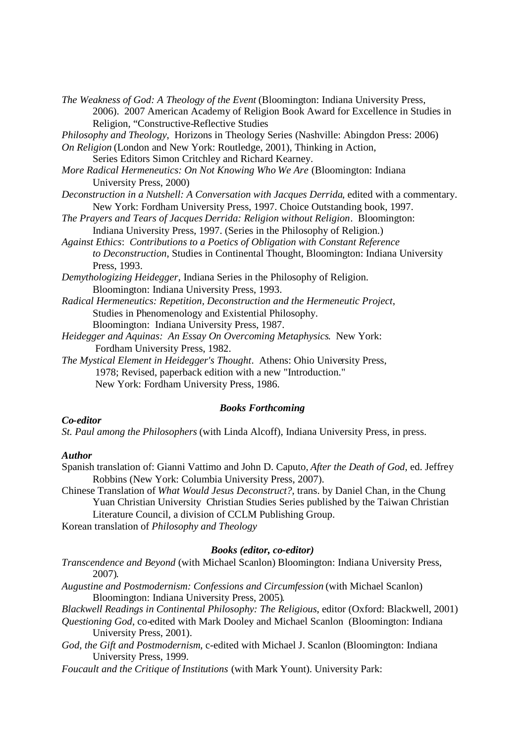*The Weakness of God: A Theology of the Event (Bloomington: Indiana University Press,* 2006). 2007 American Academy of Religion Book Award for Excellence in Studies in Religion, "Constructive-Reflective Studies

*Philosophy and Theology*, Horizons in Theology Series (Nashville: Abingdon Press: 2006)

*On Religion* (London and New York: Routledge, 2001), Thinking in Action,

Series Editors Simon Critchley and Richard Kearney.

- *More Radical Hermeneutics: On Not Knowing Who We Are* (Bloomington: Indiana University Press, 2000)
- *Deconstruction in a Nutshell: A Conversation with Jacques Derrida*, edited with a commentary. New York: Fordham University Press, 1997. Choice Outstanding book, 1997.
- *The Prayers and Tears of Jacques Derrida: Religion without Religion*. Bloomington: Indiana University Press, 1997. (Series in the Philosophy of Religion.)
- *Against Ethics*: *Contributions to a Poetics of Obligation with Constant Reference to Deconstruction*, Studies in Continental Thought, Bloomington: Indiana University Press, 1993.
- *Demythologizing Heidegger*, Indiana Series in the Philosophy of Religion. Bloomington: Indiana University Press, 1993.
- *Radical Hermeneutics: Repetition, Deconstruction and the Hermeneutic Project*, Studies in Phenomenology and Existential Philosophy.

Bloomington: Indiana University Press, 1987.

- *Heidegger and Aquinas: An Essay On Overcoming Metaphysics*. New York: Fordham University Press, 1982.
- *The Mystical Element in Heidegger's Thought*. Athens: Ohio University Press, 1978; Revised, paperback edition with a new "Introduction." New York: Fordham University Press, 1986.

#### *Books Forthcoming*

## *Co-editor*

*St. Paul among the Philosophers* (with Linda Alcoff), Indiana University Press, in press.

#### *Author*

Spanish translation of: Gianni Vattimo and John D. Caputo, *After the Death of God*, ed. Jeffrey Robbins (New York: Columbia University Press, 2007).

Chinese Translation of *What Would Jesus Deconstruct?*, trans. by Daniel Chan, in the Chung Yuan Christian University Christian Studies Series published by the Taiwan Christian Literature Council, a division of CCLM Publishing Group.

Korean translation of *Philosophy and Theology* 

### *Books (editor, co-editor)*

- *Transcendence and Beyond* (with Michael Scanlon) Bloomington: Indiana University Press, 2007)*.*
- *Augustine and Postmodernism: Confessions and Circumfession* (with Michael Scanlon) Bloomington: Indiana University Press, 2005)*.*

*Blackwell Readings in Continental Philosophy: The Religious*, editor (Oxford: Blackwell, 2001)

*Questioning God*, co-edited with Mark Dooley and Michael Scanlon (Bloomington: Indiana University Press, 2001).

*God, the Gift and Postmodernism*, c-edited with Michael J. Scanlon (Bloomington: Indiana University Press, 1999.

*Foucault and the Critique of Institutions* (with Mark Yount). University Park: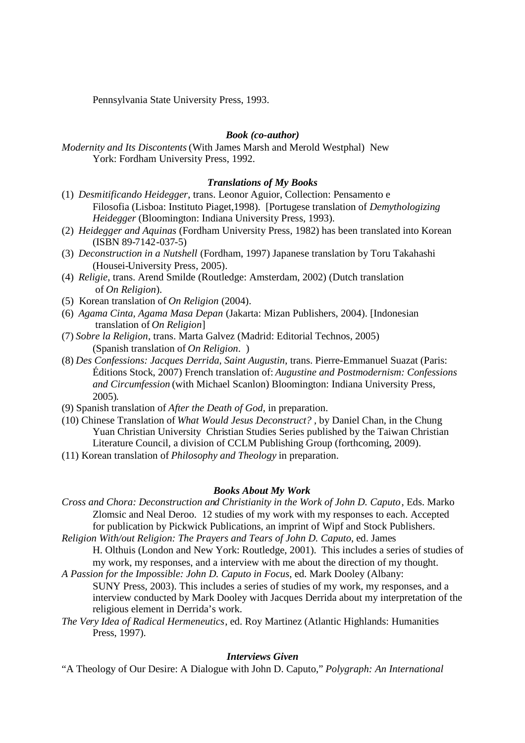Pennsylvania State University Press, 1993.

## *Book (co-author)*

*Modernity and Its Discontents* (With James Marsh and Merold Westphal) New York: Fordham University Press, 1992.

## *Translations of My Books*

- (1) *Desmitificando Heidegger*, trans. Leonor Aguior, Collection: Pensamento e Filosofia (Lisboa: Instituto Piaget,1998). [Portugese translation of *Demythologizing Heidegger* (Bloomington: Indiana University Press, 1993).
- (2) *Heidegger and Aquinas* (Fordham University Press, 1982) has been translated into Korean (ISBN 89-7142-037-5)
- (3) *Deconstruction in a Nutshell* (Fordham, 1997) Japanese translation by Toru Takahashi (Housei-University Press, 2005).
- (4) *Religie*, trans. Arend Smilde (Routledge: Amsterdam, 2002) (Dutch translation of *On Religion*).
- (5) Korean translation of *On Religion* (2004).
- (6) *Agama Cinta, Agama Masa Depan* (Jakarta: Mizan Publishers, 2004). [Indonesian translation of *On Religion*]
- (7) *Sobre la Religion*, trans. Marta Galvez (Madrid: Editorial Technos, 2005) (Spanish translation of *On Religion*. )
- (8) *Des Confessions: Jacques Derrida, Saint Augustin*, trans. Pierre-Emmanuel Suazat (Paris: Éditions Stock, 2007) French translation of: *Augustine and Postmodernism: Confessions and Circumfession* (with Michael Scanlon) Bloomington: Indiana University Press, 2005)*.*
- (9) Spanish translation of *After the Death of God*, in preparation.
- (10) Chinese Translation of *What Would Jesus Deconstruct?* , by Daniel Chan, in the Chung Yuan Christian University Christian Studies Series published by the Taiwan Christian Literature Council, a division of CCLM Publishing Group (forthcoming, 2009).
- (11) Korean translation of *Philosophy and Theology* in preparation.

#### *Books About My Work*

*Cross and Chora: Deconstruction and Christianity in the Work of John D. Caputo*, Eds. Marko Zlomsic and Neal Deroo. 12 studies of my work with my responses to each. Accepted for publication by Pickwick Publications, an imprint of Wipf and Stock Publishers.

*Religion With/out Religion: The Prayers and Tears of John D. Caputo*, ed. James H. Olthuis (London and New York: Routledge, 2001). This includes a series of studies of my work, my responses, and a interview with me about the direction of my thought.

*A Passion for the Impossible: John D. Caputo in Focus*, ed. Mark Dooley (Albany:

SUNY Press, 2003). This includes a series of studies of my work, my responses, and a interview conducted by Mark Dooley with Jacques Derrida about my interpretation of the religious element in Derrida's work.

*The Very Idea of Radical Hermeneutics*, ed. Roy Martinez (Atlantic Highlands: Humanities Press, 1997).

# *Interviews Given*

"A Theology of Our Desire: A Dialogue with John D. Caputo," *Polygraph: An International*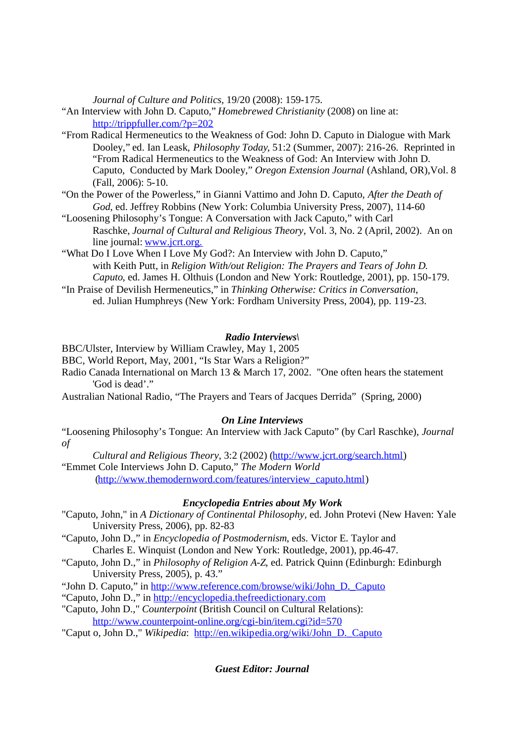*Journal of Culture and Politics*, 19/20 (2008): 159-175.

"An Interview with John D. Caputo," *Homebrewed Christianity* (2008) on line at: http://trippfuller.com/?p=202

- "From Radical Hermeneutics to the Weakness of God: John D. Caputo in Dialogue with Mark Dooley," ed. Ian Leask, *Philosophy Today*, 51:2 (Summer, 2007): 216-26. Reprinted in "From Radical Hermeneutics to the Weakness of God: An Interview with John D. Caputo, Conducted by Mark Dooley," *Oregon Extension Journal* (Ashland, OR),Vol. 8 (Fall, 2006): 5-10.
- "On the Power of the Powerless," in Gianni Vattimo and John D. Caputo, *After the Death of God*, ed. Jeffrey Robbins (New York: Columbia University Press, 2007), 114-60
- "Loosening Philosophy's Tongue: A Conversation with Jack Caputo," with Carl Raschke, *Journal of Cultural and Religious Theory*, Vol. 3, No. 2 (April, 2002). An on line journal: www.jcrt.org.
- "What Do I Love When I Love My God?: An Interview with John D. Caputo," with Keith Putt, in *Religion With/out Religion: The Prayers and Tears of John D. Caputo*, ed. James H. Olthuis (London and New York: Routledge, 2001), pp. 150-179.
- "In Praise of Devilish Hermeneutics," in *Thinking Otherwise: Critics in Conversation*, ed. Julian Humphreys (New York: Fordham University Press, 2004), pp. 119-23.

## *Radio Interviews\*

BBC/Ulster, Interview by William Crawley, May 1, 2005

- BBC, World Report, May, 2001, "Is Star Wars a Religion?"
- Radio Canada International on March 13 & March 17, 2002. "One often hears the statement 'God is dead'."
- Australian National Radio, "The Prayers and Tears of Jacques Derrida" (Spring, 2000)

### *On Line Interviews*

"Loosening Philosophy's Tongue: An Interview with Jack Caputo" (by Carl Raschke), *Journal of* 

*Cultural and Religious Theory*, 3:2 (2002) (http://www.jcrt.org/search.html) "Emmet Cole Interviews John D. Caputo," *The Modern World* 

(http://www.themodernword.com/features/interview\_caputo.html)

# *Encyclopedia Entries about My Work*

- "Caputo, John," in *A Dictionary of Continental Philosophy,* ed. John Protevi (New Haven: Yale University Press, 2006), pp. 82-83
- "Caputo, John D.," in *Encyclopedia of Postmodernism*, eds. Victor E. Taylor and Charles E. Winquist (London and New York: Routledge, 2001), pp.46-47.
- "Caputo, John D.," in *Philosophy of Religion A-Z*, ed. Patrick Quinn (Edinburgh: Edinburgh University Press, 2005), p. 43."
- "John D. Caputo," in http://www.reference.com/browse/wiki/John\_D.\_Caputo
- "Caputo, John D.," in http://encyclopedia.thefreedictionary.com
- "Caputo, John D.," *Counterpoint* (British Council on Cultural Relations): http://www.counterpoint-online.org/cgi-bin/item.cgi?id=570
- "Caput o, John D.," *Wikipedia*: http://en.wikipedia.org/wiki/John\_D.\_Caputo

*Guest Editor: Journal*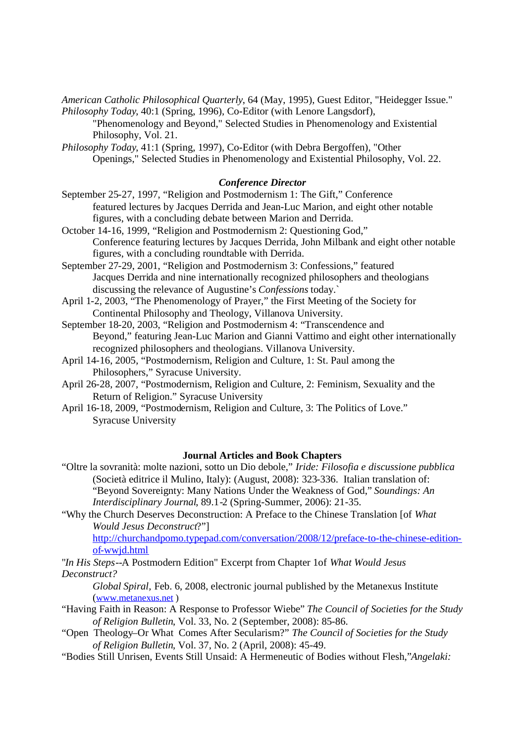*American Catholic Philosophical Quarterly*, 64 (May, 1995), Guest Editor, "Heidegger Issue." *Philosophy Today*, 40:1 (Spring, 1996), Co-Editor (with Lenore Langsdorf),

"Phenomenology and Beyond," Selected Studies in Phenomenology and Existential Philosophy, Vol. 21.

*Philosophy Today*, 41:1 (Spring, 1997), Co-Editor (with Debra Bergoffen), "Other Openings," Selected Studies in Phenomenology and Existential Philosophy, Vol. 22.

#### *Conference Director*

September 25-27, 1997, "Religion and Postmodernism 1: The Gift," Conference featured lectures by Jacques Derrida and Jean-Luc Marion, and eight other notable figures, with a concluding debate between Marion and Derrida.

October 14-16, 1999, "Religion and Postmodernism 2: Questioning God," Conference featuring lectures by Jacques Derrida, John Milbank and eight other notable figures, with a concluding roundtable with Derrida.

September 27-29, 2001, "Religion and Postmodernism 3: Confessions," featured Jacques Derrida and nine internationally recognized philosophers and theologians discussing the relevance of Augustine's *Confessions* today.`

April 1-2, 2003, "The Phenomenology of Prayer," the First Meeting of the Society for Continental Philosophy and Theology, Villanova University.

September 18-20, 2003, "Religion and Postmodernism 4: "Transcendence and Beyond," featuring Jean-Luc Marion and Gianni Vattimo and eight other internationally recognized philosophers and theologians. Villanova University.

- April 14-16, 2005, "Postmodernism, Religion and Culture, 1: St. Paul among the Philosophers," Syracuse University.
- April 26-28, 2007, "Postmodernism, Religion and Culture, 2: Feminism, Sexuality and the Return of Religion." Syracuse University
- April 16-18, 2009, "Postmodernism, Religion and Culture, 3: The Politics of Love." Syracuse University

#### **Journal Articles and Book Chapters**

- "Oltre la sovranità: molte nazioni, sotto un Dio debole," *Iride: Filosofia e discussione pubblica*  (Società editrice il Mulino, Italy): (August, 2008): 323-336. Italian translation of: "Beyond Sovereignty: Many Nations Under the Weakness of God," *Soundings: An Interdisciplinary Journal*, 89.1-2 (Spring-Summer, 2006): 21-35.
- "Why the Church Deserves Deconstruction: A Preface to the Chinese Translation [of *What Would Jesus Deconstruct*?"]

http://churchandpomo.typepad.com/conversation/2008/12/preface-to-the-chinese-editionof-wwjd.html

"*In His Steps--*A Postmodern Edition" Excerpt from Chapter 1of *What Would Jesus Deconstruct?* 

*Global Spiral,* Feb. 6, 2008, electronic journal published by the Metanexus Institute (www.metanexus.net )

- "Having Faith in Reason: A Response to Professor Wiebe" *The Council of Societies for the Study of Religion Bulletin*, Vol. 33, No. 2 (September, 2008): 85-86.
- "Open Theology–Or What Comes After Secularism?" *The Council of Societies for the Study of Religion Bulletin*, Vol. 37, No. 2 (April, 2008): 45-49.
- "Bodies Still Unrisen, Events Still Unsaid: A Hermeneutic of Bodies without Flesh,"*Angelaki:*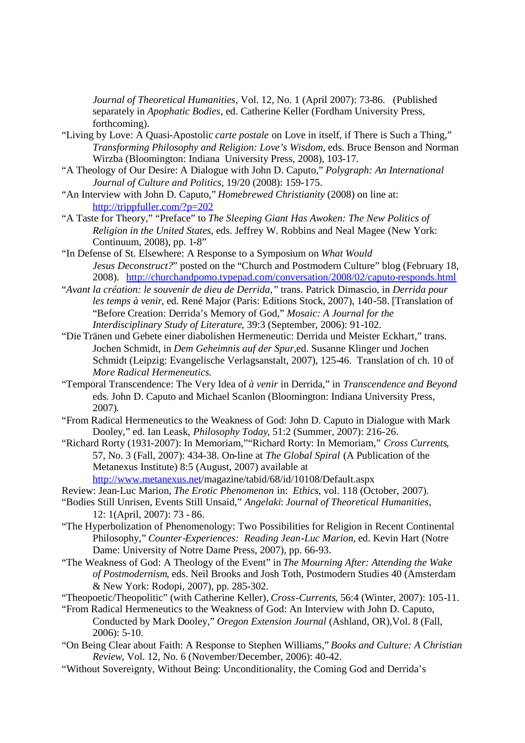*Journal of Theoretical Humanities*, Vol. 12, No. 1 (April 2007): 73-86. (Published separately in *Apophatic Bodies*, ed. Catherine Keller (Fordham University Press, forthcoming).

- "Living by Love: A Quasi-Apostolic *carte postale* on Love in itself, if There is Such a Thing," *Transforming Philosophy and Religion: Love's Wisdom*, eds. Bruce Benson and Norman Wirzba (Bloomington: Indiana University Press, 2008), 103-17.
- "A Theology of Our Desire: A Dialogue with John D. Caputo," *Polygraph: An International Journal of Culture and Politics*, 19/20 (2008): 159-175.
- "An Interview with John D. Caputo," *Homebrewed Christianity* (2008) on line at: http://trippfuller.com/?p=202
- "A Taste for Theory," "Preface" to *The Sleeping Giant Has Awoken: The New Politics of Religion in the United States*, eds. Jeffrey W. Robbins and Neal Magee (New York: Continuum, 2008), pp. 1-8"
- "In Defense of St. Elsewhere: A Response to a Symposium on *What Would Jesus Deconstruct?*" posted on the "Church and Postmodern Culture" blog (February 18, 2008). http://churchandpomo.typepad.com/conversation/2008/02/caputo-responds.html
- "*Avant la création: le souvenir de dieu de Derrida,"* trans. Patrick Dimascio*,* in *Derrida pour les temps à venir*, ed. René Major (Paris: Editions Stock, 2007), 140-58. [Translation of "Before Creation: Derrida's Memory of God," *Mosaic: A Journal for the Interdisciplinary Study of Literature*, 39:3 (September, 2006): 91-102.
- "Die Tränen und Gebete einer diabolishen Hermeneutic: Derrida und Meister Eckhart," trans. Jochen Schmidt, in *Dem Geheimnis auf der Spur*,ed. Susanne Klinger und Jochen Schmidt (Leipzig: Evangelische Verlagsanstalt, 2007), 125-46. Translation of ch. 10 of *More Radical Hermeneutics.*
- "Temporal Transcendence: The Very Idea of *à venir* in Derrida," in *Transcendence and Beyond*  eds. John D. Caputo and Michael Scanlon (Bloomington: Indiana University Press, 2007)*.*
- "From Radical Hermeneutics to the Weakness of God: John D. Caputo in Dialogue with Mark Dooley," ed. Ian Leask, *Philosophy Today*, 51:2 (Summer, 2007): 216-26.
- "Richard Rorty (1931-2007): In Memoriam,""Richard Rorty: In Memoriam," *Cross Currents*, 57, No. 3 (Fall, 2007): 434-38. On-line at *The Global Spiral* (A Publication of the Metanexus Institute) 8:5 (August, 2007) available at
- http://www.metanexus.net/magazine/tabid/68/id/10108/Default.aspx
- Review: Jean-Luc Marion, *The Erotic Phenomenon* in: *Ethics*, vol. 118 (October, 2007).
- "Bodies Still Unrisen, Events Still Unsaid," *Angelaki*: *Journal of Theoretical Humanities*, 12: 1(April, 2007): 73 - 86.
- "The Hyperbolization of Phenomenology: Two Possibilities for Religion in Recent Continental Philosophy," *Counter-Experiences: Reading Jean-Luc Marion,* ed. Kevin Hart (Notre Dame: University of Notre Dame Press, 2007), pp. 66-93.
- "The Weakness of God: A Theology of the Event" in *The Mourning After: Attending the Wake of Postmodernism*, eds. Neil Brooks and Josh Toth, Postmodern Studies 40 (Amsterdam & New York: Rodopi, 2007), pp. 285-302.
- "Theopoetic/Theopolitic" (with Catherine Keller), *Cross-Currents*, 56:4 (Winter, 2007): 105-11.
- "From Radical Hermeneutics to the Weakness of God: An Interview with John D. Caputo, Conducted by Mark Dooley," *Oregon Extension Journal* (Ashland, OR),Vol. 8 (Fall, 2006): 5-10.
- "On Being Clear about Faith: A Response to Stephen Williams," *Books and Culture: A Christian Review*, Vol. 12, No. 6 (November/December, 2006): 40-42.
- "Without Sovereignty, Without Being: Unconditionality, the Coming God and Derrida's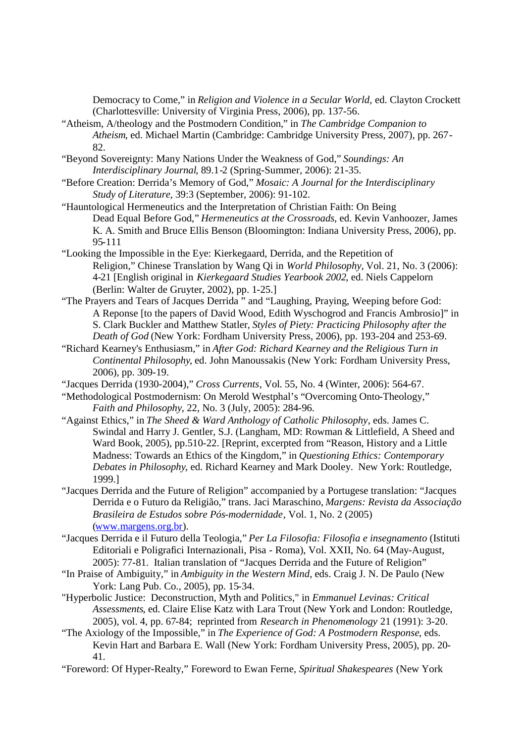Democracy to Come," in *Religion and Violence in a Secular World,* ed. Clayton Crockett (Charlottesville: University of Virginia Press, 2006), pp. 137-56.

- "Atheism, A/theology and the Postmodern Condition," in *The Cambridge Companion to Atheism*, ed. Michael Martin (Cambridge: Cambridge University Press, 2007), pp. 267 82.
- "Beyond Sovereignty: Many Nations Under the Weakness of God," *Soundings: An Interdisciplinary Journal*, 89.1-2 (Spring-Summer, 2006): 21-35.
- "Before Creation: Derrida's Memory of God," *Mosaic: A Journal for the Interdisciplinary Study of Literature*, 39:3 (September, 2006): 91-102.
- "Hauntological Hermeneutics and the Interpretation of Christian Faith: On Being Dead Equal Before God," *Hermeneutics at the Crossroads*, ed. Kevin Vanhoozer, James K. A. Smith and Bruce Ellis Benson (Bloomington: Indiana University Press, 2006), pp. 95-111
- "Looking the Impossible in the Eye: Kierkegaard, Derrida, and the Repetition of Religion," Chinese Translation by Wang Qi in *World Philosophy,* Vol. 21, No. 3 (2006): 4-21 [English original in *Kierkegaard Studies Yearbook 2002*, ed. Niels Cappelorn (Berlin: Walter de Gruyter, 2002), pp. 1-25.]
- "The Prayers and Tears of Jacques Derrida " and "Laughing, Praying, Weeping before God: A Reponse [to the papers of David Wood, Edith Wyschogrod and Francis Ambrosio]" in S. Clark Buckler and Matthew Statler, *Styles of Piety: Practicing Philosophy after the Death of God* (New York: Fordham University Press, 2006), pp. 193-204 and 253-69.
- "Richard Kearney's Enthusiasm," in *After God: Richard Kearney and the Religious Turn in Continental Philosophy*, ed. John Manoussakis (New York: Fordham University Press, 2006), pp. 309-19.
- "Jacques Derrida (1930-2004)," *Cross Currents*, Vol. 55, No. 4 (Winter, 2006): 564-67.
- "Methodological Postmodernism: On Merold Westphal's "Overcoming Onto-Theology," *Faith and Philosophy*, 22, No. 3 (July, 2005): 284-96.
- "Against Ethics," in *The Sheed & Ward Anthology of Catholic Philosophy*, eds. James C. Swindal and Harry J. Gentler, S.J. (Langham, MD: Rowman & Littlefield, A Sheed and Ward Book, 2005), pp.510-22. [Reprint, excerpted from "Reason, History and a Little Madness: Towards an Ethics of the Kingdom," in *Questioning Ethics: Contemporary Debates in Philosophy*, ed. Richard Kearney and Mark Dooley. New York: Routledge, 1999.]
- "Jacques Derrida and the Future of Religion" accompanied by a Portugese translation: "Jacques Derrida e o Futuro da Religião," trans. Jaci Maraschino, *Margens: Revista da Associação Brasileira de Estudos sobre Pós-modernidade*, Vol. 1, No. 2 (2005) (www.margens.org.br).
- "Jacques Derrida e il Futuro della Teologia," *Per La Filosofia: Filosofia e insegnamento* (Istituti Editoriali e Poligrafici Internazionali, Pisa - Roma), Vol. XXII, No. 64 (May-August, 2005): 77-81. Italian translation of "Jacques Derrida and the Future of Religion"
- "In Praise of Ambiguity," in *Ambiguity in the Western Mind*, eds. Craig J. N. De Paulo (New York: Lang Pub. Co., 2005), pp. 15-34.
- "Hyperbolic Justice: Deconstruction, Myth and Politics," in *Emmanuel Levinas: Critical Assessments*, ed. Claire Elise Katz with Lara Trout (New York and London: Routledge, 2005), vol. 4, pp. 67-84; reprinted from *Research in Phenomenology* 21 (1991): 3-20.
- "The Axiology of the Impossible," in *The Experience of God: A Postmodern Response*, eds. Kevin Hart and Barbara E. Wall (New York: Fordham University Press, 2005), pp. 20 41.
- "Foreword: Of Hyper-Realty," Foreword to Ewan Ferne, *Spiritual Shakespeares* (New York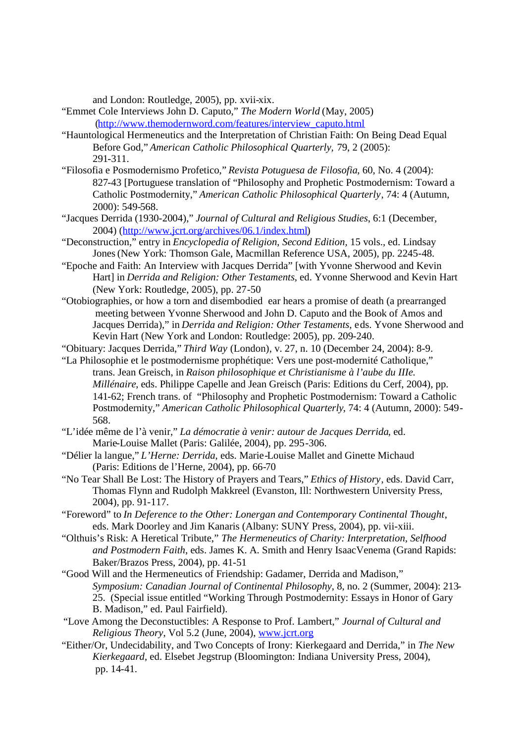and London: Routledge, 2005), pp. xvii-xix.

"Emmet Cole Interviews John D. Caputo," *The Modern World* (May, 2005) (http://www.themodernword.com/features/interview\_caputo.html

- "Hauntological Hermeneutics and the Interpretation of Christian Faith: On Being Dead Equal Before God," *American Catholic Philosophical Quarterly,* 79, 2 (2005): 291-311.
- "Filosofia e Posmodernismo Profetico," *Revista Potuguesa de Filosofia*, 60, No. 4 (2004): 827-43 [Portuguese translation of "Philosophy and Prophetic Postmodernism: Toward a Catholic Postmodernity," *American Catholic Philosophical Quarterly*, 74: 4 (Autumn, 2000): 549-568.
- "Jacques Derrida (1930-2004)," *Journal of Cultural and Religious Studies*, 6:1 (December, 2004) (http://www.jcrt.org/archives/06.1/index.html)
- "Deconstruction," entry in *Encyclopedia of Religion*, *Second Edition,* 15 vols., ed. Lindsay Jones (New York: Thomson Gale, Macmillan Reference USA, 2005), pp. 2245-48.
- "Epoche and Faith: An Interview with Jacques Derrida" [with Yvonne Sherwood and Kevin Hart] in *Derrida and Religion: Other Testaments*, ed. Yvonne Sherwood and Kevin Hart (New York: Routledge, 2005), pp. 27-50
- "Otobiographies, or how a torn and disembodied ear hears a promise of death (a prearranged meeting between Yvonne Sherwood and John D. Caputo and the Book of Amos and Jacques Derrida)," in *Derrida and Religion: Other Testaments*, eds. Yvone Sherwood and Kevin Hart (New York and London: Routledge: 2005), pp. 209-240.
- "Obituary: Jacques Derrida," *Third Way* (London), v. 27, n. 10 (December 24, 2004): 8-9.
- "La Philosophie et le postmodernisme prophétique: Vers une post-modernité Catholique," trans. Jean Greisch, in *Raison philosophique et Christianisme à l'aube du IIIe. Millénaire*, eds. Philippe Capelle and Jean Greisch (Paris: Editions du Cerf, 2004), pp. 141-62; French trans. of "Philosophy and Prophetic Postmodernism: Toward a Catholic Postmodernity," *American Catholic Philosophical Quarterly*, 74: 4 (Autumn, 2000): 549 568.
- "L'idée même de l'à venir," *La démocratie à venir: autour de Jacques Derrida*, ed. Marie-Louise Mallet (Paris: Galilée, 2004), pp. 295-306.
- "Délier la langue," *L'Herne: Derrida*, eds. Marie-Louise Mallet and Ginette Michaud (Paris: Editions de l'Herne, 2004), pp. 66-70
- "No Tear Shall Be Lost: The History of Prayers and Tears," *Ethics of History*, eds. David Carr, Thomas Flynn and Rudolph Makkreel (Evanston, Ill: Northwestern University Press, 2004), pp. 91-117.
- "Foreword" to *In Deference to the Other: Lonergan and Contemporary Continental Thought*, eds. Mark Doorley and Jim Kanaris (Albany: SUNY Press, 2004), pp. vii-xiii.
- "Olthuis's Risk: A Heretical Tribute," *The Hermeneutics of Charity: Interpretation, Selfhood and Postmodern Faith*, eds. James K. A. Smith and Henry IsaacVenema (Grand Rapids: Baker/Brazos Press, 2004), pp. 41-51
- "Good Will and the Hermeneutics of Friendship: Gadamer, Derrida and Madison," *Symposium: Canadian Journal of Continental Philosophy*, 8, no. 2 (Summer, 2004): 213 25. (Special issue entitled "Working Through Postmodernity: Essays in Honor of Gary B. Madison," ed. Paul Fairfield).
- "Love Among the Deconstuctibles: A Response to Prof. Lambert," *Journal of Cultural and Religious Theory*, Vol 5.2 (June, 2004), www.jcrt.org
- "Either/Or, Undecidability, and Two Concepts of Irony: Kierkegaard and Derrida," in *The New Kierkegaard*, ed. Elsebet Jegstrup (Bloomington: Indiana University Press, 2004), pp. 14-41.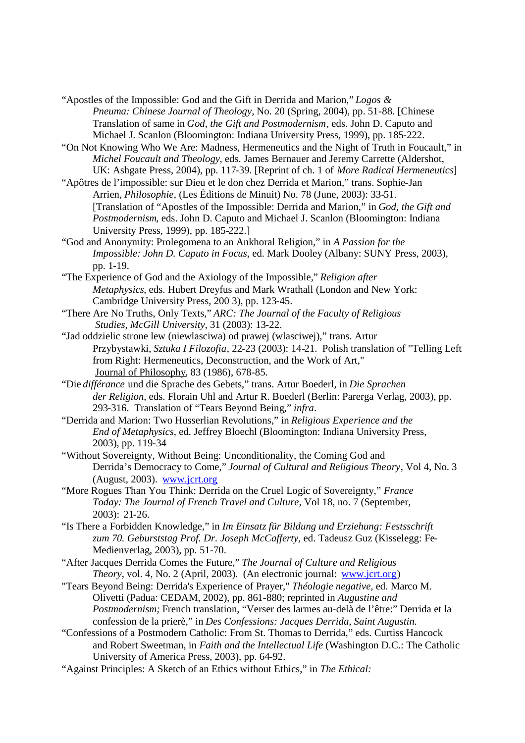- "Apostles of the Impossible: God and the Gift in Derrida and Marion," *Logos & Pneuma: Chinese Journal of Theology,* No. 20 (Spring, 2004), pp. 51-88. [Chinese Translation of same in *God, the Gift and Postmodernism*, eds. John D. Caputo and Michael J. Scanlon (Bloomington: Indiana University Press, 1999), pp. 185-222.
- "On Not Knowing Who We Are: Madness, Hermeneutics and the Night of Truth in Foucault," in *Michel Foucault and Theology*, eds. James Bernauer and Jeremy Carrette (Aldershot, UK: Ashgate Press, 2004), pp. 117-39. [Reprint of ch. 1 of *More Radical Hermeneutics*]
- "Apôtres de l'impossible: sur Dieu et le don chez Derrida et Marion," trans. Sophie-Jan Arrien, *Philosophie*, (Les Éditions de Minuit) No. 78 (June, 2003): 33-51. [Translation of "Apostles of the Impossible: Derrida and Marion," in *God, the Gift and Postmodernism*, eds. John D. Caputo and Michael J. Scanlon (Bloomington: Indiana University Press, 1999), pp. 185-222.]
- "God and Anonymity: Prolegomena to an Ankhoral Religion," in *A Passion for the Impossible: John D. Caputo in Focus*, ed. Mark Dooley (Albany: SUNY Press, 2003), pp. 1-19.
- "The Experience of God and the Axiology of the Impossible," *Religion after Metaphysics*, eds. Hubert Dreyfus and Mark Wrathall (London and New York: Cambridge University Press, 200 3), pp. 123-45.
- "There Are No Truths, Only Texts," *ARC: The Journal of the Faculty of Religious Studies, McGill University,* 31 (2003): 13-22.
- "Jad oddzielic strone lew (niewlasciwa) od prawej (wlasciwej)," trans. Artur Przybystawki, *Sztuka I Filozofia*, 22-23 (2003): 14-21. Polish translation of "Telling Left from Right: Hermeneutics, Deconstruction, and the Work of Art," Journal of Philosophy, 83 (1986), 678-85.
- "Die *différance* und die Sprache des Gebets," trans. Artur Boederl, in *Die Sprachen der Religion*, eds. Florain Uhl and Artur R. Boederl (Berlin: Parerga Verlag, 2003), pp. 293-316. Translation of "Tears Beyond Being," *infra*.
- "Derrida and Marion: Two Husserlian Revolutions," in *Religious Experience and the End of Metaphysics*, ed. Jeffrey Bloechl (Bloomington: Indiana University Press, 2003), pp. 119-34
- "Without Sovereignty, Without Being: Unconditionality, the Coming God and Derrida's Democracy to Come," *Journal of Cultural and Religious Theory*, Vol 4, No. 3 (August, 2003). www.jcrt.org
- "More Rogues Than You Think: Derrida on the Cruel Logic of Sovereignty," *France Today: The Journal of French Travel and Culture*, Vol 18, no. 7 (September, 2003): 21-26.
- "Is There a Forbidden Knowledge," in *Im Einsatz für Bildung und Erziehung: Festsschrift zum 70. Geburststag Prof. Dr. Joseph McCafferty*, ed. Tadeusz Guz (Kisselegg: Fe-Medienverlag, 2003), pp. 51-70.
- "After Jacques Derrida Comes the Future," *The Journal of Culture and Religious Theory*, vol. 4, No. 2 (April, 2003). (An electronic journal: www.jcrt.org)
- "Tears Beyond Being: Derrida's Experience of Prayer," *Théologie negative,* ed. Marco M. Olivetti (Padua: CEDAM, 2002), pp. 861-880; reprinted in *Augustine and Postmodernism;* French translation, "Verser des larmes au-delà de l'être:" Derrida et la confession de la prierè," in *Des Confessions: Jacques Derrida, Saint Augustin.*
- "Confessions of a Postmodern Catholic: From St. Thomas to Derrida," eds. Curtiss Hancock and Robert Sweetman, in *Faith and the Intellectual Life* (Washington D.C.: The Catholic University of America Press, 2003), pp. 64-92.
- "Against Principles: A Sketch of an Ethics without Ethics," in *The Ethical:*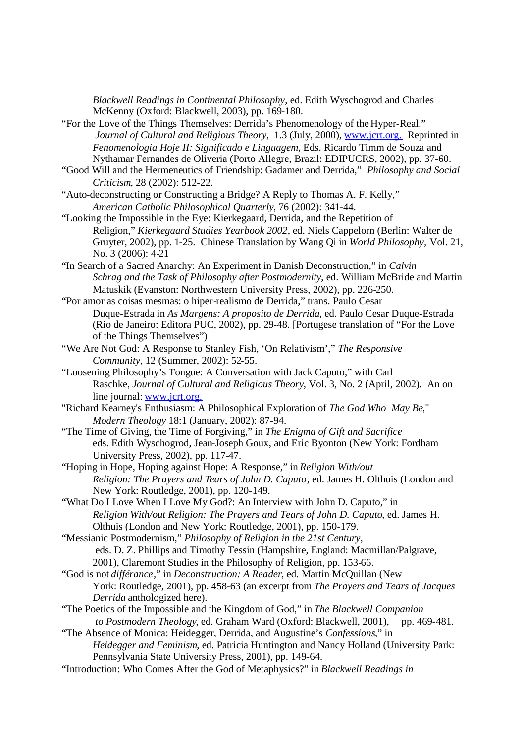*Blackwell Readings in Continental Philosophy*, ed. Edith Wyschogrod and Charles McKenny (Oxford: Blackwell, 2003), pp. 169-180.

- "For the Love of the Things Themselves: Derrida's Phenomenology of the Hyper-Real," *Journal of Cultural and Religious Theory*, 1.3 (July, 2000), www.jcrt.org. Reprinted in *Fenomenologia Hoje II: Significado e Linguagem*, Eds. Ricardo Timm de Souza and Nythamar Fernandes de Oliveria (Porto Allegre, Brazil: EDIPUCRS, 2002), pp. 37-60.
- "Good Will and the Hermeneutics of Friendship: Gadamer and Derrida," *Philosophy and Social Criticism*, 28 (2002): 512-22.
- "Auto-deconstructing or Constructing a Bridge? A Reply to Thomas A. F. Kelly," *American Catholic Philosophical Quarterly*, 76 (2002): 341-44.
- "Looking the Impossible in the Eye: Kierkegaard, Derrida, and the Repetition of Religion," *Kierkegaard Studies Yearbook 2002*, ed. Niels Cappelorn (Berlin: Walter de Gruyter, 2002), pp. 1-25. Chinese Translation by Wang Qi in *World Philosophy,* Vol. 21, No. 3 (2006): 4-21
- "In Search of a Sacred Anarchy: An Experiment in Danish Deconstruction," in *Calvin Schrag and the Task of Philosophy after Postmodernity*, ed. William McBride and Martin Matuskik (Evanston: Northwestern University Press, 2002), pp. 226-250.
- "Por amor as coisas mesmas: o hiper-realismo de Derrida," trans. Paulo Cesar Duque-Estrada in *As Margens: A proposito de Derrida*, ed. Paulo Cesar Duque-Estrada (Rio de Janeiro: Editora PUC, 2002), pp. 29-48. [Portugese translation of "For the Love of the Things Themselves")
- "We Are Not God: A Response to Stanley Fish, 'On Relativism'," *The Responsive Community*, 12 (Summer, 2002): 52-55.
- "Loosening Philosophy's Tongue: A Conversation with Jack Caputo," with Carl Raschke, *Journal of Cultural and Religious Theory*, Vol. 3, No. 2 (April, 2002). An on line journal: www.jcrt.org.
- "Richard Kearney's Enthusiasm: A Philosophical Exploration of *The God Who May Be*," *Modern Theology* 18:1 (January, 2002): 87-94.
- "The Time of Giving, the Time of Forgiving," in *The Enigma of Gift and Sacrifice*  eds. Edith Wyschogrod, Jean-Joseph Goux, and Eric Byonton (New York: Fordham University Press, 2002), pp. 117-47.
- "Hoping in Hope, Hoping against Hope: A Response," in *Religion With/out Religion: The Prayers and Tears of John D. Caputo*, ed. James H. Olthuis (London and New York: Routledge, 2001), pp. 120-149.
- "What Do I Love When I Love My God?: An Interview with John D. Caputo," in *Religion With/out Religion: The Prayers and Tears of John D. Caputo*, ed. James H. Olthuis (London and New York: Routledge, 2001), pp. 150-179.
- "Messianic Postmodernism," *Philosophy of Religion in the 21st Century,*  eds. D. Z. Phillips and Timothy Tessin (Hampshire, England: Macmillan/Palgrave, 2001), Claremont Studies in the Philosophy of Religion, pp. 153-66.
- "God is not *différance*," in *Deconstruction: A Reader*, ed. Martin McQuillan (New York: Routledge, 2001), pp. 458-63 (an excerpt from *The Prayers and Tears of Jacques Derrida* anthologized here).
- "The Poetics of the Impossible and the Kingdom of God," in *The Blackwell Companion to Postmodern Theology*, ed. Graham Ward (Oxford: Blackwell, 2001), pp. 469-481.
- "The Absence of Monica: Heidegger, Derrida, and Augustine's *Confessions*," in *Heidegger and Feminism*, ed. Patricia Huntington and Nancy Holland (University Park: Pennsylvania State University Press, 2001), pp. 149-64.
- "Introduction: Who Comes After the God of Metaphysics?" in *Blackwell Readings in*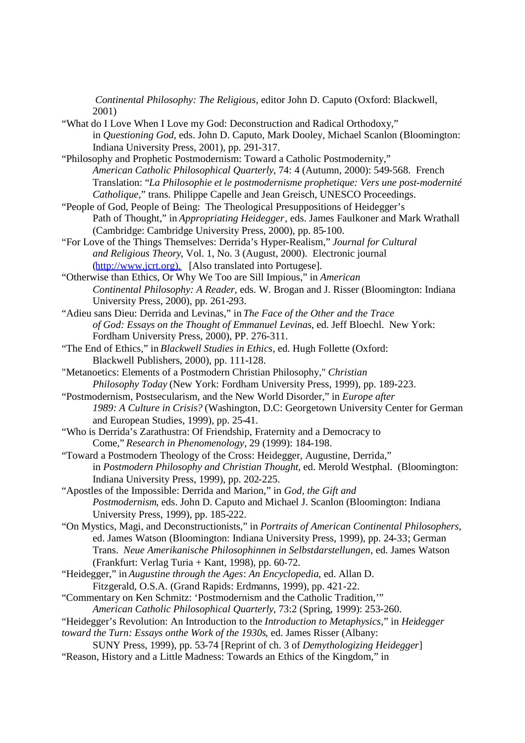*Continental Philosophy: The Religious*, editor John D. Caputo (Oxford: Blackwell, 2001)

- "What do I Love When I Love my God: Deconstruction and Radical Orthodoxy," in *Questioning God*, eds. John D. Caputo, Mark Dooley, Michael Scanlon (Bloomington: Indiana University Press, 2001), pp. 291-317.
- "Philosophy and Prophetic Postmodernism: Toward a Catholic Postmodernity," *American Catholic Philosophical Quarterly*, 74: 4 (Autumn, 2000): 549-568. French Translation: "*La Philosophie et le postmodernisme prophetique: Vers une post-modernité Catholique*," trans. Philippe Capelle and Jean Greisch, UNESCO Proceedings.
- "People of God, People of Being: The Theological Presuppositions of Heidegger's Path of Thought," in *Appropriating Heidegger*, eds. James Faulkoner and Mark Wrathall (Cambridge: Cambridge University Press, 2000), pp. 85-100.
- "For Love of the Things Themselves: Derrida's Hyper-Realism," *Journal for Cultural and Religious Theory*, Vol. 1, No. 3 (August, 2000). Electronic journal (http://www.jcrt.org). [Also translated into Portugese].
- "Otherwise than Ethics, Or Why We Too are Sill Impious," in *American Continental Philosophy: A Reader*, eds. W. Brogan and J. Risser (Bloomington: Indiana University Press, 2000), pp. 261-293.
- "Adieu sans Dieu: Derrida and Levinas," in *The Face of the Other and the Trace of God: Essays on the Thought of Emmanuel Levinas*, ed. Jeff Bloechl. New York: Fordham University Press, 2000), PP. 276-311.
- "The End of Ethics," in *Blackwell Studies in Ethics*, ed. Hugh Follette (Oxford: Blackwell Publishers, 2000), pp. 111-128.
- "Metanoetics: Elements of a Postmodern Christian Philosophy," *Christian Philosophy Today* (New York: Fordham University Press, 1999), pp. 189-223.
- "Postmodernism, Postsecularism, and the New World Disorder," in *Europe after 1989: A Culture in Crisis?* (Washington, D.C: Georgetown University Center for German and European Studies, 1999), pp. 25-41.
- "Who is Derrida's Zarathustra: Of Friendship, Fraternity and a Democracy to Come," *Research in Phenomenology*, 29 (1999): 184-198.
- "Toward a Postmodern Theology of the Cross: Heidegger, Augustine, Derrida," in *Postmodern Philosophy and Christian Thought*, ed. Merold Westphal. (Bloomington: Indiana University Press, 1999), pp. 202-225.
- "Apostles of the Impossible: Derrida and Marion," in *God, the Gift and Postmodernism*, eds. John D. Caputo and Michael J. Scanlon (Bloomington: Indiana University Press, 1999), pp. 185-222.
- "On Mystics, Magi, and Deconstructionists," in *Portraits of American Continental Philosophers*, ed. James Watson (Bloomington: Indiana University Press, 1999), pp. 24-33; German Trans. *Neue Amerikanische Philosophinnen in Selbstdarstellungen*, ed. James Watson (Frankfurt: Verlag Turia + Kant, 1998), pp.  $60-72$ .
- "Heidegger," in *Augustine through the Ages*: *An Encyclopedia*, ed. Allan D. Fitzgerald, O.S.A. (Grand Rapids: Erdmanns, 1999), pp. 421-22.
- "Commentary on Ken Schmitz: 'Postmodernism and the Catholic Tradition,'" *American Catholic Philosophical Quarterly*, 73:2 (Spring, 1999): 253-260.
- "Heidegger's Revolution: An Introduction to the *Introduction to Metaphysics,*" in *Heidegger*

*toward the Turn: Essays onthe Work of the 1930s*, ed. James Risser (Albany:

SUNY Press, 1999), pp. 53-74 [Reprint of ch. 3 of *Demythologizing Heidegger*] "Reason, History and a Little Madness: Towards an Ethics of the Kingdom," in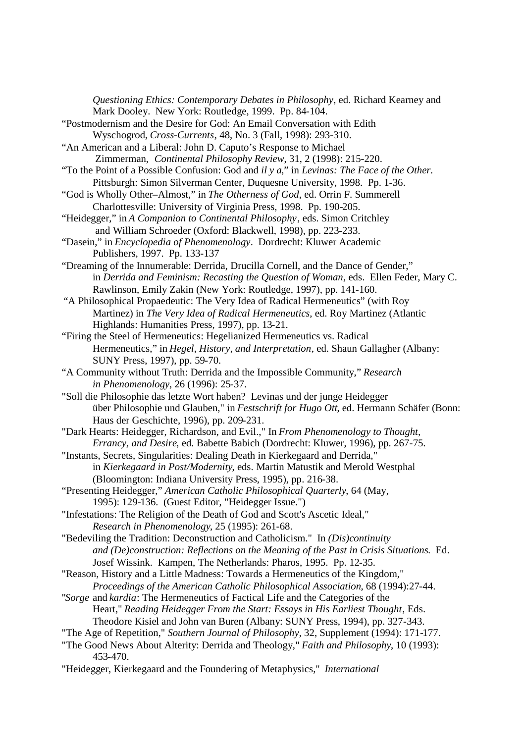*Questioning Ethics: Contemporary Debates in Philosophy*, ed. Richard Kearney and Mark Dooley. New York: Routledge, 1999. Pp. 84-104. "Postmodernism and the Desire for God: An Email Conversation with Edith Wyschogrod, *Cross-Currents*, 48, No. 3 (Fall, 1998): 293-310. "An American and a Liberal: John D. Caputo's Response to Michael Zimmerman, *Continental Philosophy Review*, 31, 2 (1998): 215-220. "To the Point of a Possible Confusion: God and *il y a*," in *Levinas: The Face of the Other.*  Pittsburgh: Simon Silverman Center, Duquesne University, 1998. Pp. 1-36. "God is Wholly Other–Almost," in *The Otherness of God*, ed. Orrin F. Summerell Charlottesville: University of Virginia Press, 1998. Pp. 190-205. "Heidegger," in *A Companion to Continental Philosophy*, eds. Simon Critchley and William Schroeder (Oxford: Blackwell, 1998), pp. 223-233. "Dasein," in *Encyclopedia of Phenomenology*. Dordrecht: Kluwer Academic Publishers, 1997. Pp. 133-137 "Dreaming of the Innumerable: Derrida, Drucilla Cornell, and the Dance of Gender," in *Derrida and Feminism: Recasting the Question of Woman*, eds. Ellen Feder, Mary C. Rawlinson, Emily Zakin (New York: Routledge, 1997), pp. 141-160. "A Philosophical Propaedeutic: The Very Idea of Radical Hermeneutics" (with Roy Martinez) in *The Very Idea of Radical Hermeneutics*, ed. Roy Martinez (Atlantic Highlands: Humanities Press, 1997), pp. 13-21. "Firing the Steel of Hermeneutics: Hegelianized Hermeneutics vs. Radical Hermeneutics," in *Hegel, History, and Interpretation*, ed. Shaun Gallagher (Albany: SUNY Press, 1997), pp. 59-70. "A Community without Truth: Derrida and the Impossible Community," *Research in Phenomenology*, 26 (1996): 25-37. "Soll die Philosophie das letzte Wort haben? Levinas und der junge Heidegger über Philosophie und Glauben," in *Festschrift for Hugo Ott*, ed. Hermann Schäfer (Bonn: Haus der Geschichte, 1996), pp. 209-231. "Dark Hearts: Heidegger, Richardson, and Evil.," In *From Phenomenology to Thought, Errancy, and Desire*, ed. Babette Babich (Dordrecht: Kluwer, 1996), pp. 267-75. "Instants, Secrets, Singularities: Dealing Death in Kierkegaard and Derrida," in *Kierkegaard in Post/Modernity*, eds. Martin Matustik and Merold Westphal (Bloomington: Indiana University Press, 1995), pp. 216-38. "Presenting Heidegger," *American Catholic Philosophical Quarterly*, 64 (May, 1995): 129-136. (Guest Editor, "Heidegger Issue.") "Infestations: The Religion of the Death of God and Scott's Ascetic Ideal," *Research in Phenomenology*, 25 (1995): 261-68. "Bedeviling the Tradition: Deconstruction and Catholicism." In *(Dis)continuity and (De)construction: Reflections on the Meaning of the Past in Crisis Situations*. Ed. Josef Wissink. Kampen, The Netherlands: Pharos, 1995. Pp. 12-35. "Reason, History and a Little Madness: Towards a Hermeneutics of the Kingdom," *Proceedings of the American Catholic Philosophical Association*, 68 (1994):27-44. "*Sorge* and *kardia*: The Hermeneutics of Factical Life and the Categories of the Heart," *Reading Heidegger From the Start: Essays in His Earliest Thought*, Eds. Theodore Kisiel and John van Buren (Albany: SUNY Press, 1994), pp. 327-343. "The Age of Repetition," *Southern Journal of Philosophy*, 32, Supplement (1994): 171-177. "The Good News About Alterity: Derrida and Theology," *Faith and Philosophy*, 10 (1993): 453-470. "Heidegger, Kierkegaard and the Foundering of Metaphysics," *International*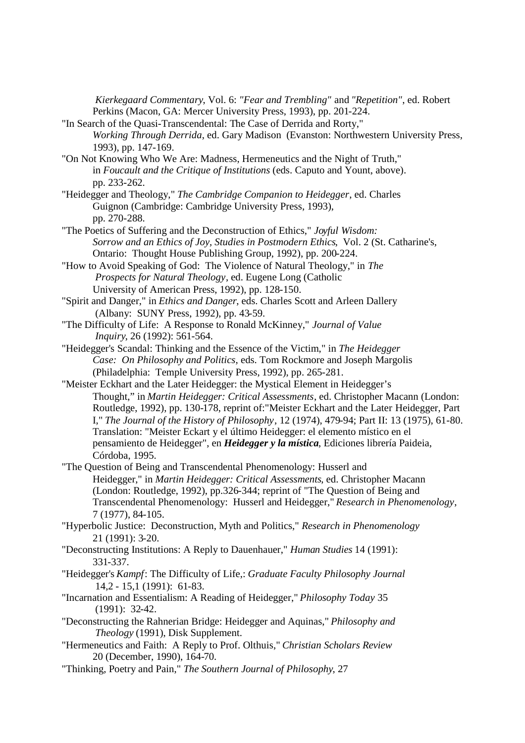*Kierkegaard Commentary*, Vol. 6: *"Fear and Trembling"* and *"Repetition"*, ed. Robert Perkins (Macon, GA: Mercer University Press, 1993), pp. 201-224.

- "In Search of the Quasi-Transcendental: The Case of Derrida and Rorty," *Working Through Derrida*, ed. Gary Madison (Evanston: Northwestern University Press, 1993), pp. 147-169.
- "On Not Knowing Who We Are: Madness, Hermeneutics and the Night of Truth," in *Foucault and the Critique of Institutions* (eds. Caputo and Yount, above). pp. 233-262.
- "Heidegger and Theology," *The Cambridge Companion to Heidegger*, ed. Charles Guignon (Cambridge: Cambridge University Press, 1993), pp. 270-288.
- "The Poetics of Suffering and the Deconstruction of Ethics," *Joyful Wisdom: Sorrow and an Ethics of Joy, Studies in Postmodern Ethics*, Vol. 2 (St. Catharine's, Ontario: Thought House Publishing Group, 1992), pp. 200-224.
- "How to Avoid Speaking of God: The Violence of Natural Theology," in *The Prospects for Natural Theology*, ed. Eugene Long (Catholic University of American Press, 1992), pp. 128-150.
- "Spirit and Danger," in *Ethics and Danger*, eds. Charles Scott and Arleen Dallery (Albany: SUNY Press, 1992), pp. 43-59.
- "The Difficulty of Life: A Response to Ronald McKinney," *Journal of Value Inquiry*, 26 (1992): 561-564.
- "Heidegger's Scandal: Thinking and the Essence of the Victim," in *The Heidegger Case: On Philosophy and Politics*, eds. Tom Rockmore and Joseph Margolis (Philadelphia: Temple University Press, 1992), pp. 265-281.
- "Meister Eckhart and the Later Heidegger: the Mystical Element in Heidegger's Thought," in *Martin Heidegger: Critical Assessments*, ed. Christopher Macann (London: Routledge, 1992), pp. 130-178, reprint of:"Meister Eckhart and the Later Heidegger, Part I," *The Journal of the History of Philosophy*, 12 (1974), 479-94; Part II: 13 (1975), 61-80. Translation: "Meister Eckart y el último Heidegger: el elemento místico en el pensamiento de Heidegger", en *Heidegger y la mística*, Ediciones librería Paideia, Córdoba, 1995.
- "The Question of Being and Transcendental Phenomenology: Husserl and Heidegger," in *Martin Heidegger: Critical Assessments*, ed. Christopher Macann (London: Routledge, 1992), pp.326-344; reprint of "The Question of Being and Transcendental Phenomenology: Husserl and Heidegger," *Research in Phenomenology*, 7 (1977), 84-105.
- "Hyperbolic Justice: Deconstruction, Myth and Politics," *Research in Phenomenology* 21 (1991): 3-20.
- "Deconstructing Institutions: A Reply to Dauenhauer," *Human Studies* 14 (1991): 331-337.
- "Heidegger's *Kampf*: The Difficulty of Life,: *Graduate Faculty Philosophy Journal* 14,2 - 15,1 (1991): 61-83.
- "Incarnation and Essentialism: A Reading of Heidegger," *Philosophy Today* 35 (1991): 32-42.
- "Deconstructing the Rahnerian Bridge: Heidegger and Aquinas," *Philosophy and Theology* (1991), Disk Supplement.
- "Hermeneutics and Faith: A Reply to Prof. Olthuis," *Christian Scholars Review* 20 (December, 1990), 164-70.
- "Thinking, Poetry and Pain," *The Southern Journal of Philosophy*, 27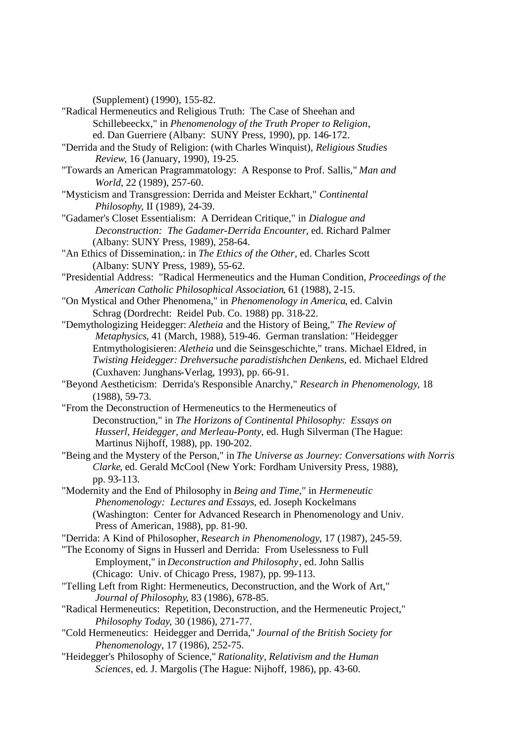(Supplement) (1990), 155-82.

- "Radical Hermeneutics and Religious Truth: The Case of Sheehan and Schillebeeckx," in *Phenomenology of the Truth Proper to Religion*, ed. Dan Guerriere (Albany: SUNY Press, 1990), pp. 146-172.
- "Derrida and the Study of Religion: (with Charles Winquist), *Religious Studies Review*, 16 (January, 1990), 19-25.
- "Towards an American Pragrammatology: A Response to Prof. Sallis," *Man and World*, 22 (1989), 257-60.
- "Mysticism and Transgression: Derrida and Meister Eckhart," *Continental Philosophy*, II (1989), 24-39.
- "Gadamer's Closet Essentialism: A Derridean Critique," in *Dialogue and Deconstruction: The Gadamer-Derrida Encounter*, ed. Richard Palmer (Albany: SUNY Press, 1989), 258-64.
- "An Ethics of Dissemination,: in *The Ethics of the Other*, ed. Charles Scott (Albany: SUNY Press, 1989), 55-62.
- "Presidential Address: "Radical Hermeneutics and the Human Condition, *Proceedings of the American Catholic Philosophical Association*, 61 (1988), 2-15.
- "On Mystical and Other Phenomena," in *Phenomenology in America*, ed. Calvin Schrag (Dordrecht: Reidel Pub. Co. 1988) pp. 318-22.
- "Demythologizing Heidegger: *Aletheia* and the History of Being," *The Review of Metaphysics*, 41 (March, 1988), 519-46. German translation: "Heidegger Entmythologisieren: *Aletheia* und die Seinsgeschichte," trans. Michael Eldred, in *Twisting Heidegger: Drehversuche paradistishchen Denkens*, ed. Michael Eldred (Cuxhaven: Junghans-Verlag, 1993), pp. 66-91.
- "Beyond Aestheticism: Derrida's Responsible Anarchy," *Research in Phenomenology*, 18 (1988), 59-73.
- "From the Deconstruction of Hermeneutics to the Hermeneutics of Deconstruction," in *The Horizons of Continental Philosophy: Essays on Husserl, Heidegger, and Merleau-Ponty*, ed. Hugh Silverman (The Hague: Martinus Nijhoff, 1988), pp. 190-202.
- "Being and the Mystery of the Person," in *The Universe as Journey: Conversations with Norris Clarke*, ed. Gerald McCool (New York: Fordham University Press, 1988), pp. 93-113.
- "Modernity and the End of Philosophy in *Being and Time*," in *Hermeneutic Phenomenology: Lectures and Essays*, ed. Joseph Kockelmans (Washington: Center for Advanced Research in Phenomenology and Univ. Press of American, 1988), pp. 81-90.
- "Derrida: A Kind of Philosopher, *Research in Phenomenology*, 17 (1987), 245-59.
- "The Economy of Signs in Husserl and Derrida: From Uselessness to Full Employment," in *Deconstruction and Philosophy*, ed. John Sallis
	- (Chicago: Univ. of Chicago Press, 1987), pp. 99-113.
- "Telling Left from Right: Hermeneutics, Deconstruction, and the Work of Art," *Journal of Philosophy*, 83 (1986), 678-85.
- "Radical Hermeneutics: Repetition, Deconstruction, and the Hermeneutic Project," *Philosophy Today*, 30 (1986), 271-77.
- "Cold Hermeneutics: Heidegger and Derrida," *Journal of the British Society for Phenomenology*, 17 (1986), 252-75.
- "Heidegger's Philosophy of Science," *Rationality, Relativism and the Human Sciences,* ed. J. Margolis (The Hague: Nijhoff, 1986), pp. 43-60.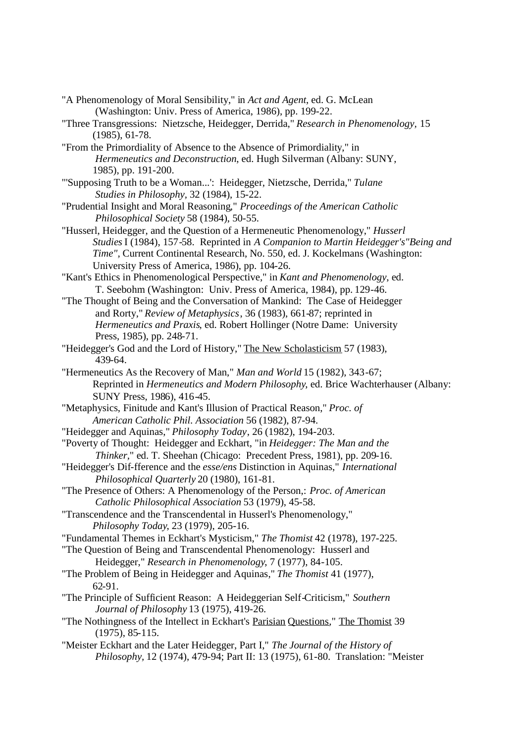- "A Phenomenology of Moral Sensibility," in *Act and Agent*, ed. G. McLean (Washington: Univ. Press of America, 1986), pp. 199-22.
- "Three Transgressions: Nietzsche, Heidegger, Derrida," *Research in Phenomenology,* 15 (1985), 61-78.
- "From the Primordiality of Absence to the Absence of Primordiality," in *Hermeneutics and Deconstruction*, ed. Hugh Silverman (Albany: SUNY, 1985), pp. 191-200.
- "'Supposing Truth to be a Woman...': Heidegger, Nietzsche, Derrida," *Tulane Studies in Philosophy,* 32 (1984), 15-22.
- "Prudential Insight and Moral Reasoning," *Proceedings of the American Catholic Philosophical Society* 58 (1984), 50-55.
- "Husserl, Heidegger, and the Question of a Hermeneutic Phenomenology," *Husserl Studies* I (1984), 157-58. Reprinted in *A Companion to Martin Heidegger's"Being and Time",* Current Continental Research, No. 550, ed. J. Kockelmans (Washington: University Press of America, 1986), pp. 104-26.
- "Kant's Ethics in Phenomenological Perspective," in *Kant and Phenomenology*, ed. T. Seebohm (Washington: Univ. Press of America, 1984), pp. 129-46.
- "The Thought of Being and the Conversation of Mankind: The Case of Heidegger and Rorty," *Review of Metaphysics*, 36 (1983), 661-87; reprinted in *Hermeneutics and Praxis*, ed. Robert Hollinger (Notre Dame: University Press, 1985), pp. 248-71.
- "Heidegger's God and the Lord of History," The New Scholasticism 57 (1983), 439-64.
- "Hermeneutics As the Recovery of Man," *Man and World* 15 (1982), 343-67; Reprinted in *Hermeneutics and Modern Philosophy*, ed. Brice Wachterhauser (Albany: SUNY Press, 1986), 416-45.
- "Metaphysics, Finitude and Kant's Illusion of Practical Reason," *Proc. of American Catholic Phil. Association* 56 (1982), 87-94.
- "Heidegger and Aquinas," *Philosophy Today*, 26 (1982), 194-203.
- "Poverty of Thought: Heidegger and Eckhart, "in *Heidegger: The Man and the Thinker,*" ed. T. Sheehan (Chicago: Precedent Press, 1981), pp. 209-16.
- "Heidegger's Dif-fference and the *esse/ens* Distinction in Aquinas," *International Philosophical Quarterly* 20 (1980), 161-81.
- "The Presence of Others: A Phenomenology of the Person,: *Proc. of American Catholic Philosophical Association* 53 (1979), 45-58.
- "Transcendence and the Transcendental in Husserl's Phenomenology," *Philosophy Today*, 23 (1979), 205-16.
- "Fundamental Themes in Eckhart's Mysticism," *The Thomist* 42 (1978), 197-225.
- "The Question of Being and Transcendental Phenomenology: Husserl and Heidegger," *Research in Phenomenology*, 7 (1977), 84-105.
- "The Problem of Being in Heidegger and Aquinas," *The Thomist* 41 (1977), 62-91.
- "The Principle of Sufficient Reason: A Heideggerian Self-Criticism," *Southern Journal of Philosophy* 13 (1975), 419-26.
- "The Nothingness of the Intellect in Eckhart's Parisian Questions," The Thomist 39 (1975), 85-115.
- "Meister Eckhart and the Later Heidegger, Part I," *The Journal of the History of Philosophy,* 12 (1974), 479-94; Part II: 13 (1975), 61-80. Translation: "Meister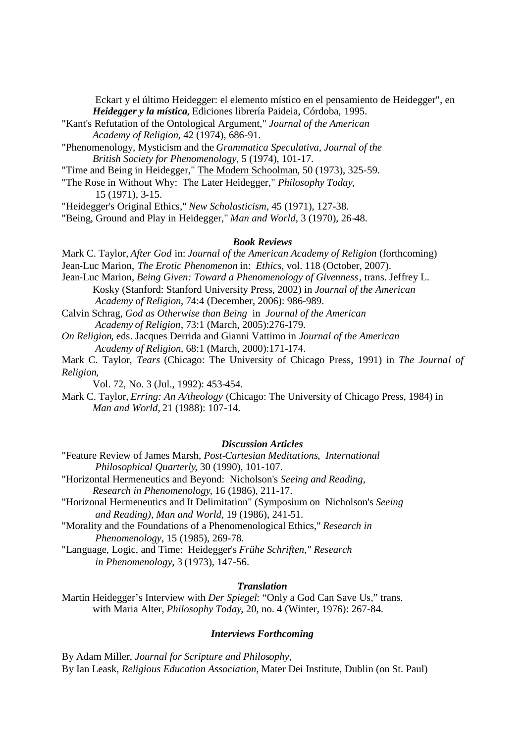Eckart y el último Heidegger: el elemento místico en el pensamiento de Heidegger", en *Heidegger y la mística*, Ediciones librería Paideia, Córdoba, 1995.

- "Kant's Refutation of the Ontological Argument," *Journal of the American Academy of Religion*, 42 (1974), 686-91.
- "Phenomenology, Mysticism and the *Grammatica Speculativa, Journal of the British Society for Phenomenology*, 5 (1974), 101-17.
- "Time and Being in Heidegger," The Modern Schoolman, 50 (1973), 325-59.
- "The Rose in Without Why: The Later Heidegger," *Philosophy Today*, 15 (1971), 3-15.

"Heidegger's Original Ethics," *New Scholasticism*, 45 (1971), 127-38.

"Being, Ground and Play in Heidegger," *Man and World*, 3 (1970), 26-48.

#### *Book Reviews*

- Mark C. Taylor, *After God* in: *Journal of the American Academy of Religion* (forthcoming)
- Jean-Luc Marion, *The Erotic Phenomenon* in: *Ethics*, vol. 118 (October, 2007).
- Jean-Luc Marion, *Being Given: Toward a Phenomenology of Givenness*, trans. Jeffrey L. Kosky (Stanford: Stanford University Press, 2002) in *Journal of the American Academy of Religion*, 74:4 (December, 2006): 986-989.
- Calvin Schrag, *God as Otherwise than Being* in *Journal of the American Academy of Religion*, 73:1 (March, 2005):276-179.
- *On Religion*, eds. Jacques Derrida and Gianni Vattimo in *Journal of the American Academy of Religion*, 68:1 (March, 2000):171-174.
- Mark C. Taylor, *Tears* (Chicago: The University of Chicago Press, 1991) in *The Journal ofReligion*,
	- Vol. 72, No. 3 (Jul., 1992): 453-454.
- Mark C. Taylor, *Erring: An A/theology* (Chicago: The University of Chicago Press, 1984) in *Man and World,* 21 (1988): 107-14.

#### *Discussion Articles*

- "Feature Review of James Marsh, *Post-Cartesian Meditations*, *International Philosophical Quarterly*, 30 (1990), 101-107.
- "Horizontal Hermeneutics and Beyond: Nicholson's *Seeing and Reading, Research in Phenomenology*, 16 (1986), 211-17.
- "Horizonal Hermeneutics and It Delimitation" (Symposium on Nicholson's *Seeing and Reading), Man and World*, 19 (1986), 241-51.
- "Morality and the Foundations of a Phenomenological Ethics," *Research in Phenomenology*, 15 (1985), 269-78.
- "Language, Logic, and Time: Heidegger's *Frühe Schriften," Research in Phenomenology*, 3 (1973), 147-56.

#### *Translation*

Martin Heidegger's Interview with *Der Spiegel*: "Only a God Can Save Us," trans. with Maria Alter, *Philosophy Today*, 20, no. 4 (Winter, 1976): 267-84.

#### *Interviews Forthcoming*

By Adam Miller, *Journal for Scripture and Philosophy,* By Ian Leask, *Religious Education Association,* Mater Dei Institute, Dublin (on St. Paul)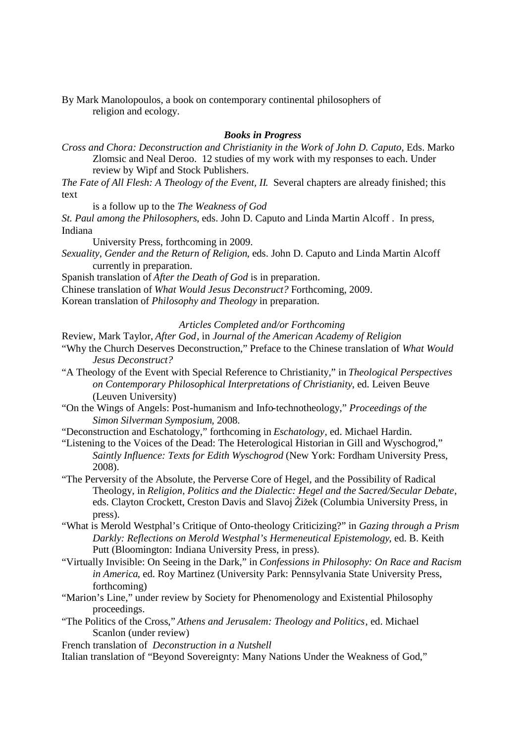By Mark Manolopoulos, a book on contemporary continental philosophers of religion and ecology.

#### *Books in Progress*

*Cross and Chora: Deconstruction and Christianity in the Work of John D. Caputo*, Eds. Marko Zlomsic and Neal Deroo. 12 studies of my work with my responses to each. Under review by Wipf and Stock Publishers.

*The Fate of All Flesh: A Theology of the Event, II*. Several chapters are already finished; this text

is a follow up to the *The Weakness of God*

*St. Paul among the Philosophers*, eds. John D. Caputo and Linda Martin Alcoff . In press, Indiana

University Press, forthcoming in 2009.

*Sexuality, Gender and the Return of Religion*, eds. John D. Caputo and Linda Martin Alcoff currently in preparation.

Spanish translation of *After the Death of God* is in preparation.

Chinese translation of *What Would Jesus Deconstruct?* Forthcoming, 2009.

Korean translation of *Philosophy and Theology* in preparation.

*Articles Completed and/or Forthcoming*

- Review, Mark Taylor, *After God*, in *Journal of the American Academy of Religion*
- "Why the Church Deserves Deconstruction," Preface to the Chinese translation of *What Would Jesus Deconstruct?*
- "A Theology of the Event with Special Reference to Christianity," in *Theological Perspectives on Contemporary Philosophical Interpretations of Christianity*, ed. Leiven Beuve (Leuven University)
- "On the Wings of Angels: Post-humanism and Info-technotheology," *Proceedings of the Simon Silverman Symposium*, 2008.

"Deconstruction and Eschatology," forthcoming in *Eschatology*, ed. Michael Hardin.

"Listening to the Voices of the Dead: The Heterological Historian in Gill and Wyschogrod," *Saintly Influence: Texts for Edith Wyschogrod* (New York: Fordham University Press, 2008).

"The Perversity of the Absolute, the Perverse Core of Hegel, and the Possibility of Radical Theology, in *Religion, Politics and the Dialectic: Hegel and the Sacred/Secular Debate*, eds. Clayton Crockett, Creston Davis and Slavoj Žižek (Columbia University Press, in press).

- "What is Merold Westphal's Critique of Onto-theology Criticizing?" in *Gazing through a Prism Darkly: Reflections on Merold Westphal's Hermeneutical Epistemology*, ed. B. Keith Putt (Bloomington: Indiana University Press, in press).
- "Virtually Invisible: On Seeing in the Dark," in *Confessions in Philosophy: On Race and Racism in America*, ed. Roy Martinez (University Park: Pennsylvania State University Press, forthcoming)
- "Marion's Line," under review by Society for Phenomenology and Existential Philosophy proceedings.
- "The Politics of the Cross," *Athens and Jerusalem: Theology and Politics*, ed. Michael Scanlon (under review)

French translation of *Deconstruction in a Nutshell*

Italian translation of "Beyond Sovereignty: Many Nations Under the Weakness of God,"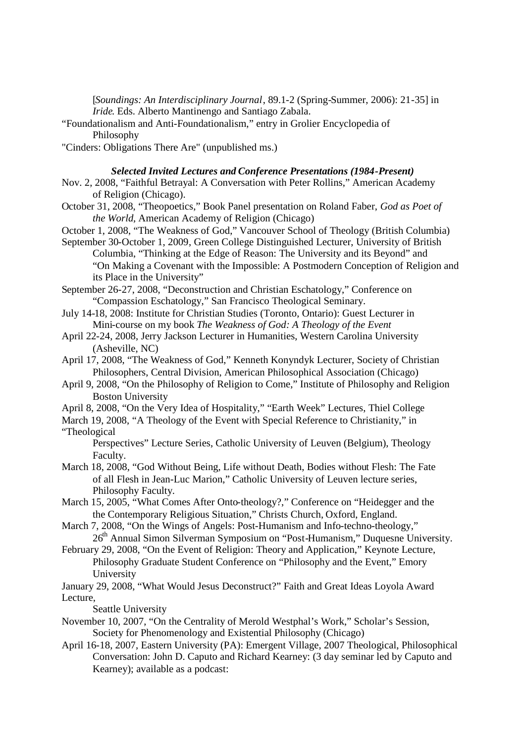[*Soundings: An Interdisciplinary Journal*, 89.1-2 (Spring-Summer, 2006): 21-35] in *Iride*. Eds. Alberto Mantinengo and Santiago Zabala.

- "Foundationalism and Anti-Foundationalism," entry in Grolier Encyclopedia of Philosophy
- "Cinders: Obligations There Are" (unpublished ms.)

# *Selected Invited Lectures and Conference Presentations (1984-Present)*

- Nov. 2, 2008, "Faithful Betrayal: A Conversation with Peter Rollins," American Academy of Religion (Chicago).
- October 31, 2008, "Theopoetics," Book Panel presentation on Roland Faber, *God as Poet of the World*, American Academy of Religion (Chicago)
- October 1, 2008, "The Weakness of God," Vancouver School of Theology (British Columbia)
- September 30-October 1, 2009, Green College Distinguished Lecturer, University of British Columbia, "Thinking at the Edge of Reason: The University and its Beyond" and "On Making a Covenant with the Impossible: A Postmodern Conception of Religion and its Place in the University"
- September 26-27, 2008, "Deconstruction and Christian Eschatology," Conference on "Compassion Eschatology," San Francisco Theological Seminary.
- July 14-18, 2008: Institute for Christian Studies (Toronto, Ontario): Guest Lecturer in Mini-course on my book *The Weakness of God: A Theology of the Event*
- April 22-24, 2008, Jerry Jackson Lecturer in Humanities, Western Carolina University (Asheville, NC)
- April 17, 2008, "The Weakness of God," Kenneth Konyndyk Lecturer, Society of Christian Philosophers, Central Division, American Philosophical Association (Chicago)
- April 9, 2008, "On the Philosophy of Religion to Come," Institute of Philosophy and Religion Boston University
- April 8, 2008, "On the Very Idea of Hospitality," "Earth Week" Lectures, Thiel College

March 19, 2008, "A Theology of the Event with Special Reference to Christianity," in "Theological

Perspectives" Lecture Series, Catholic University of Leuven (Belgium), Theology Faculty.

- March 18, 2008, "God Without Being, Life without Death, Bodies without Flesh: The Fate of all Flesh in Jean-Luc Marion," Catholic University of Leuven lecture series, Philosophy Faculty.
- March 15, 2005, "What Comes After Onto-theology?," Conference on "Heidegger and the the Contemporary Religious Situation," Christs Church, Oxford, England.
- March 7, 2008, "On the Wings of Angels: Post-Humanism and Info-techno-theology," 26<sup>th</sup> Annual Simon Silverman Symposium on "Post-Humanism," Duquesne University.
- February 29, 2008, "On the Event of Religion: Theory and Application," Keynote Lecture, Philosophy Graduate Student Conference on "Philosophy and the Event," Emory University
- January 29, 2008, "What Would Jesus Deconstruct?" Faith and Great Ideas Loyola Award Lecture,

Seattle University

- November 10, 2007, "On the Centrality of Merold Westphal's Work," Scholar's Session, Society for Phenomenology and Existential Philosophy (Chicago)
- April 16-18, 2007, Eastern University (PA): Emergent Village, 2007 Theological, Philosophical Conversation: John D. Caputo and Richard Kearney: (3 day seminar led by Caputo and Kearney); available as a podcast: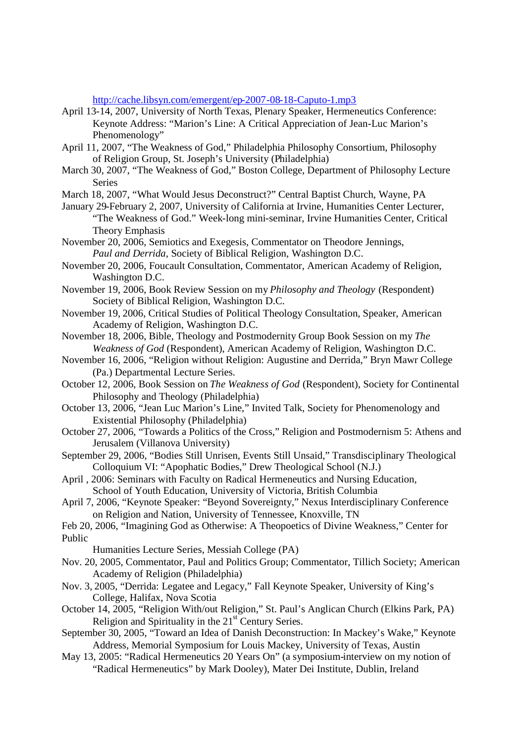http://cache.libsyn.com/emergent/ep-2007-08-18-Caputo-1.mp3

- April 13-14, 2007, University of North Texas, Plenary Speaker, Hermeneutics Conference: Keynote Address: "Marion's Line: A Critical Appreciation of Jean-Luc Marion's Phenomenology"
- April 11, 2007, "The Weakness of God," Philadelphia Philosophy Consortium, Philosophy of Religion Group, St. Joseph's University (Philadelphia)
- March 30, 2007, "The Weakness of God," Boston College, Department of Philosophy Lecture Series
- March 18, 2007, "What Would Jesus Deconstruct?" Central Baptist Church, Wayne, PA
- January 29-February 2, 2007, University of California at Irvine, Humanities Center Lecturer, "The Weakness of God." Week-long mini-seminar, Irvine Humanities Center, Critical Theory Emphasis
- November 20, 2006, Semiotics and Exegesis, Commentator on Theodore Jennings, *Paul and Derrida,* Society of Biblical Religion, Washington D.C.
- November 20, 2006, Foucault Consultation, Commentator, American Academy of Religion, Washington D.C.

November 19, 2006, Book Review Session on my *Philosophy and Theology* (Respondent) Society of Biblical Religion, Washington D.C.

- November 19, 2006, Critical Studies of Political Theology Consultation, Speaker, American Academy of Religion, Washington D.C.
- November 18, 2006, Bible, Theology and Postmodernity Group Book Session on my *The Weakness of God* (Respondent), American Academy of Religion, Washington D.C.
- November 16, 2006, "Religion without Religion: Augustine and Derrida," Bryn Mawr College (Pa.) Departmental Lecture Series.
- October 12, 2006, Book Session on *The Weakness of God* (Respondent), Society for Continental Philosophy and Theology (Philadelphia)
- October 13, 2006, "Jean Luc Marion's Line," Invited Talk, Society for Phenomenology and Existential Philosophy (Philadelphia)
- October 27, 2006, "Towards a Politics of the Cross," Religion and Postmodernism 5: Athens and Jerusalem (Villanova University)
- September 29, 2006, "Bodies Still Unrisen, Events Still Unsaid," Transdisciplinary Theological Colloquium VI: "Apophatic Bodies," Drew Theological School (N.J.)
- April , 2006: Seminars with Faculty on Radical Hermeneutics and Nursing Education, School of Youth Education, University of Victoria, British Columbia
- April 7, 2006, "Keynote Speaker: "Beyond Sovereignty," Nexus Interdisciplinary Conference on Religion and Nation, University of Tennessee, Knoxville, TN
- Feb 20, 2006, "Imagining God as Otherwise: A Theopoetics of Divine Weakness," Center for Public

Humanities Lecture Series, Messiah College (PA)

- Nov. 20, 2005, Commentator, Paul and Politics Group; Commentator, Tillich Society; American Academy of Religion (Philadelphia)
- Nov. 3, 2005, "Derrida: Legatee and Legacy," Fall Keynote Speaker, University of King's College, Halifax, Nova Scotia
- October 14, 2005, "Religion With/out Religion," St. Paul's Anglican Church (Elkins Park, PA) Religion and Spirituality in the  $21<sup>st</sup>$  Century Series.
- September 30, 2005, "Toward an Idea of Danish Deconstruction: In Mackey's Wake," Keynote Address, Memorial Symposium for Louis Mackey, University of Texas, Austin
- May 13, 2005: "Radical Hermeneutics 20 Years On" (a symposium-interview on my notion of "Radical Hermeneutics" by Mark Dooley), Mater Dei Institute, Dublin, Ireland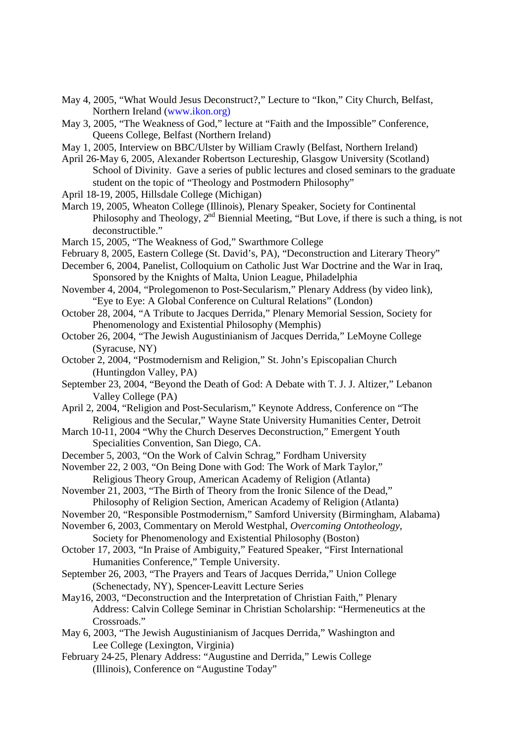- May 4, 2005, "What Would Jesus Deconstruct?," Lecture to "Ikon," City Church, Belfast, Northern Ireland (www.ikon.org)
- May 3, 2005, "The Weakness of God," lecture at "Faith and the Impossible" Conference, Queens College, Belfast (Northern Ireland)
- May 1, 2005, Interview on BBC/Ulster by William Crawly (Belfast, Northern Ireland)
- April 26-May 6, 2005, Alexander Robertson Lectureship, Glasgow University (Scotland) School of Divinity. Gave a series of public lectures and closed seminars to the graduate student on the topic of "Theology and Postmodern Philosophy"
- April 18-19, 2005, Hillsdale College (Michigan)
- March 19, 2005, Wheaton College (Illinois), Plenary Speaker, Society for Continental Philosophy and Theology,  $2^{nd}$  Biennial Meeting, "But Love, if there is such a thing, is not deconstructible."
- March 15, 2005, "The Weakness of God," Swarthmore College
- February 8, 2005, Eastern College (St. David's, PA), "Deconstruction and Literary Theory"
- December 6, 2004, Panelist, Colloquium on Catholic Just War Doctrine and the War in Iraq, Sponsored by the Knights of Malta, Union League, Philadelphia
- November 4, 2004, "Prolegomenon to Post-Secularism," Plenary Address (by video link), "Eye to Eye: A Global Conference on Cultural Relations" (London)
- October 28, 2004, "A Tribute to Jacques Derrida," Plenary Memorial Session, Society for Phenomenology and Existential Philosophy (Memphis)
- October 26, 2004, "The Jewish Augustinianism of Jacques Derrida," LeMoyne College (Syracuse, NY)
- October 2, 2004, "Postmodernism and Religion," St. John's Episcopalian Church (Huntingdon Valley, PA)
- September 23, 2004, "Beyond the Death of God: A Debate with T. J. J. Altizer," Lebanon Valley College (PA)
- April 2, 2004, "Religion and Post-Secularism," Keynote Address, Conference on "The Religious and the Secular," Wayne State University Humanities Center, Detroit
- March 10-11, 2004 "Why the Church Deserves Deconstruction," Emergent Youth Specialities Convention, San Diego, CA.
- December 5, 2003, "On the Work of Calvin Schrag," Fordham University
- November 22, 2 003, "On Being Done with God: The Work of Mark Taylor," Religious Theory Group, American Academy of Religion (Atlanta)
- November 21, 2003, "The Birth of Theory from the Ironic Silence of the Dead," Philosophy of Religion Section, American Academy of Religion (Atlanta)
- November 20, "Responsible Postmodernism," Samford University (Birmingham, Alabama)

November 6, 2003, Commentary on Merold Westphal, *Overcoming Ontotheology*, Society for Phenomenology and Existential Philosophy (Boston)

- October 17, 2003, "In Praise of Ambiguity," Featured Speaker, "First International Humanities Conference," Temple University.
- September 26, 2003, "The Prayers and Tears of Jacques Derrida," Union College (Schenectady, NY), Spencer-Leavitt Lecture Series
- May16, 2003, "Deconstruction and the Interpretation of Christian Faith," Plenary Address: Calvin College Seminar in Christian Scholarship: "Hermeneutics at the Crossroads."
- May 6, 2003, "The Jewish Augustinianism of Jacques Derrida," Washington and Lee College (Lexington, Virginia)
- February 24-25, Plenary Address: "Augustine and Derrida," Lewis College (Illinois), Conference on "Augustine Today"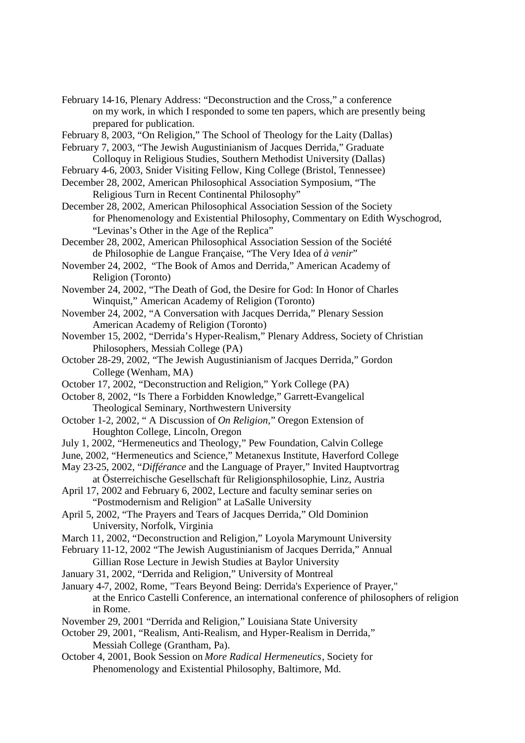February 14-16, Plenary Address: "Deconstruction and the Cross," a conference on my work, in which I responded to some ten papers, which are presently being prepared for publication.

February 8, 2003, "On Religion," The School of Theology for the Laity (Dallas)

February 7, 2003, "The Jewish Augustinianism of Jacques Derrida," Graduate Colloquy in Religious Studies, Southern Methodist University (Dallas)

February 4-6, 2003, Snider Visiting Fellow, King College (Bristol, Tennessee)

December 28, 2002, American Philosophical Association Symposium, "The Religious Turn in Recent Continental Philosophy"

December 28, 2002, American Philosophical Association Session of the Society for Phenomenology and Existential Philosophy, Commentary on Edith Wyschogrod, "Levinas's Other in the Age of the Replica"

December 28, 2002, American Philosophical Association Session of the Société de Philosophie de Langue Française, "The Very Idea of *à venir*"

November 24, 2002, "The Book of Amos and Derrida," American Academy of Religion (Toronto)

November 24, 2002, "The Death of God, the Desire for God: In Honor of Charles Winquist," American Academy of Religion (Toronto)

- November 24, 2002, "A Conversation with Jacques Derrida," Plenary Session American Academy of Religion (Toronto)
- November 15, 2002, "Derrida's Hyper-Realism," Plenary Address, Society of Christian Philosophers, Messiah College (PA)
- October 28-29, 2002, "The Jewish Augustinianism of Jacques Derrida," Gordon College (Wenham, MA)
- October 17, 2002, "Deconstruction and Religion," York College (PA)

October 8, 2002, "Is There a Forbidden Knowledge," Garrett-Evangelical Theological Seminary, Northwestern University

- October 1-2, 2002, " A Discussion of *On Religion,*" Oregon Extension of Houghton College, Lincoln, Oregon
- July 1, 2002, "Hermeneutics and Theology," Pew Foundation, Calvin College
- June, 2002, "Hermeneutics and Science," Metanexus Institute, Haverford College
- May 23-25, 2002, "*Différance* and the Language of Prayer," Invited Hauptvortrag

at Österreichische Gesellschaft für Religionsphilosophie, Linz, Austria April 17, 2002 and February 6, 2002, Lecture and faculty seminar series on

"Postmodernism and Religion" at LaSalle University

April 5, 2002, "The Prayers and Tears of Jacques Derrida," Old Dominion University, Norfolk, Virginia

- March 11, 2002, "Deconstruction and Religion," Loyola Marymount University
- February 11-12, 2002 "The Jewish Augustinianism of Jacques Derrida," Annual
	- Gillian Rose Lecture in Jewish Studies at Baylor University
- January 31, 2002, "Derrida and Religion," University of Montreal

January 4-7, 2002, Rome, "Tears Beyond Being: Derrida's Experience of Prayer," at the Enrico Castelli Conference, an international conference of philosophers of religion in Rome.

November 29, 2001 "Derrida and Religion," Louisiana State University

October 29, 2001, "Realism, Anti-Realism, and Hyper-Realism in Derrida," Messiah College (Grantham, Pa).

October 4, 2001, Book Session on *More Radical Hermeneutics*, Society for Phenomenology and Existential Philosophy, Baltimore, Md.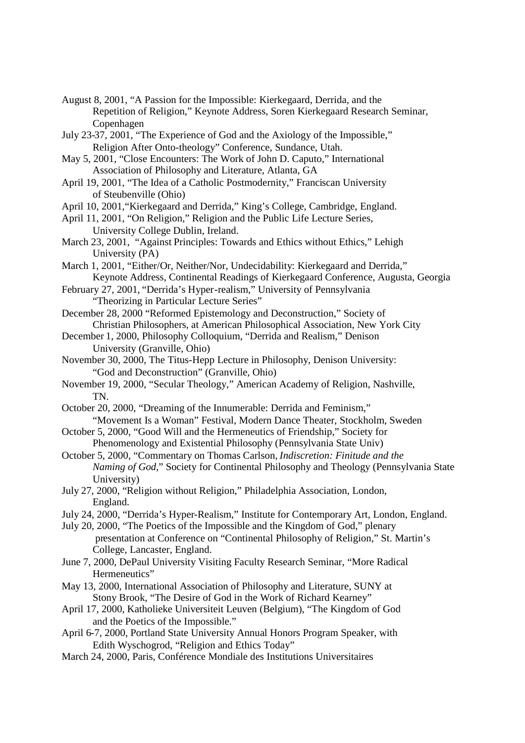- August 8, 2001, "A Passion for the Impossible: Kierkegaard, Derrida, and the Repetition of Religion," Keynote Address, Soren Kierkegaard Research Seminar, Copenhagen
- July 23-37, 2001, "The Experience of God and the Axiology of the Impossible," Religion After Onto-theology" Conference, Sundance, Utah.
- May 5, 2001, "Close Encounters: The Work of John D. Caputo," International Association of Philosophy and Literature, Atlanta, GA
- April 19, 2001, "The Idea of a Catholic Postmodernity," Franciscan University of Steubenville (Ohio)
- April 10, 2001,"Kierkegaard and Derrida," King's College, Cambridge, England.
- April 11, 2001, "On Religion," Religion and the Public Life Lecture Series, University College Dublin, Ireland.
- March 23, 2001, "Against Principles: Towards and Ethics without Ethics," Lehigh University (PA)
- March 1, 2001, "Either/Or, Neither/Nor, Undecidability: Kierkegaard and Derrida," Keynote Address, Continental Readings of Kierkegaard Conference, Augusta, Georgia
- February 27, 2001, "Derrida's Hyper-realism," University of Pennsylvania "Theorizing in Particular Lecture Series"
- December 28, 2000 "Reformed Epistemology and Deconstruction," Society of Christian Philosophers, at American Philosophical Association, New York City
- December 1, 2000, Philosophy Colloquium, "Derrida and Realism," Denison University (Granville, Ohio)
- November 30, 2000, The Titus-Hepp Lecture in Philosophy, Denison University: "God and Deconstruction" (Granville, Ohio)
- November 19, 2000, "Secular Theology," American Academy of Religion, Nashville, TN.
- October 20, 2000, "Dreaming of the Innumerable: Derrida and Feminism," "Movement Is a Woman" Festival, Modern Dance Theater, Stockholm, Sweden
- October 5, 2000, "Good Will and the Hermeneutics of Friendship," Society for Phenomenology and Existential Philosophy (Pennsylvania State Univ)
- October 5, 2000, "Commentary on Thomas Carlson, *Indiscretion: Finitude and the Naming of God*," Society for Continental Philosophy and Theology (Pennsylvania State University)
- July 27, 2000, "Religion without Religion," Philadelphia Association, London, England.
- July 24, 2000, "Derrida's Hyper-Realism," Institute for Contemporary Art, London, England.
- July 20, 2000, "The Poetics of the Impossible and the Kingdom of God," plenary presentation at Conference on "Continental Philosophy of Religion," St. Martin's College, Lancaster, England.
- June 7, 2000, DePaul University Visiting Faculty Research Seminar, "More Radical Hermeneutics"
- May 13, 2000, International Association of Philosophy and Literature, SUNY at Stony Brook, "The Desire of God in the Work of Richard Kearney"
- April 17, 2000, Katholieke Universiteit Leuven (Belgium), "The Kingdom of God and the Poetics of the Impossible."
- April 6-7, 2000, Portland State University Annual Honors Program Speaker, with Edith Wyschogrod, "Religion and Ethics Today"
- March 24, 2000, Paris, Conférence Mondiale des Institutions Universitaires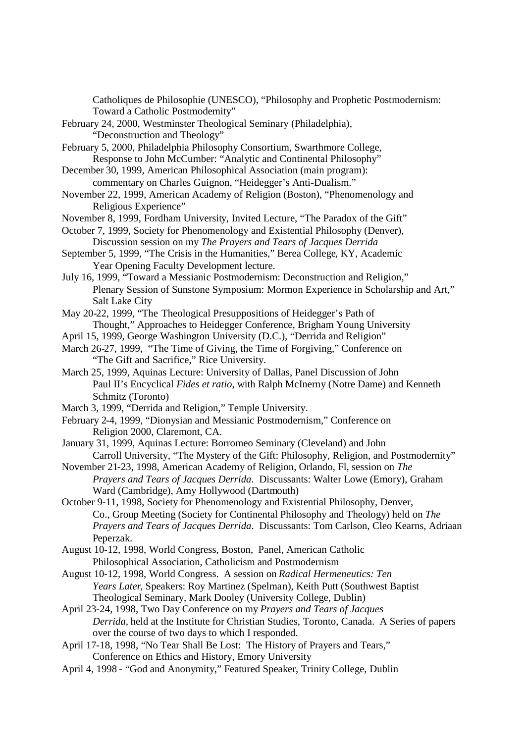Catholiques de Philosophie (UNESCO), "Philosophy and Prophetic Postmodernism: Toward a Catholic Postmodernity"

February 24, 2000, Westminster Theological Seminary (Philadelphia), "Deconstruction and Theology"

February 5, 2000, Philadelphia Philosophy Consortium, Swarthmore College, Response to John McCumber: "Analytic and Continental Philosophy"

- December 30, 1999, American Philosophical Association (main program): commentary on Charles Guignon, "Heidegger's Anti-Dualism."
- November 22, 1999, American Academy of Religion (Boston), "Phenomenology and Religious Experience"

November 8, 1999, Fordham University, Invited Lecture, "The Paradox of the Gift"

October 7, 1999, Society for Phenomenology and Existential Philosophy (Denver), Discussion session on my *The Prayers and Tears of Jacques Derrida*

- September 5, 1999, "The Crisis in the Humanities," Berea College, KY, Academic Year Opening Faculty Development lecture.
- July 16, 1999, "Toward a Messianic Postmodernism: Deconstruction and Religion," Plenary Session of Sunstone Symposium: Mormon Experience in Scholarship and Art," Salt Lake City
- May 20-22, 1999, "The Theological Presuppositions of Heidegger's Path of Thought," Approaches to Heidegger Conference, Brigham Young University
- April 15, 1999, George Washington University (D.C.), "Derrida and Religion"
- March 26-27, 1999, "The Time of Giving, the Time of Forgiving," Conference on "The Gift and Sacrifice," Rice University.
- March 25, 1999, Aquinas Lecture: University of Dallas, Panel Discussion of John Paul II's Encyclical *Fides et ratio*, with Ralph McInerny (Notre Dame) and Kenneth Schmitz (Toronto)
- March 3, 1999, "Derrida and Religion," Temple University.

February 2-4, 1999, "Dionysian and Messianic Postmodernism," Conference on Religion 2000, Claremont, CA.

- January 31, 1999, Aquinas Lecture: Borromeo Seminary (Cleveland) and John Carroll University, "The Mystery of the Gift: Philosophy, Religion, and Postmodernity"
- November 21-23, 1998, American Academy of Religion, Orlando, Fl, session on *The Prayers and Tears of Jacques Derrida*. Discussants: Walter Lowe (Emory), Graham Ward (Cambridge), Amy Hollywood (Dartmouth)
- October 9-11, 1998, Society for Phenomenology and Existential Philosophy, Denver, Co., Group Meeting (Society for Continental Philosophy and Theology) held on *The Prayers and Tears of Jacques Derrida*. Discussants: Tom Carlson, Cleo Kearns, Adriaan Peperzak.
- August 10-12, 1998, World Congress, Boston, Panel, American Catholic Philosophical Association, Catholicism and Postmodernism
- August 10-12, 1998, World Congress. A session on *Radical Hermeneutics: Ten Years Later*, Speakers: Roy Martinez (Spelman), Keith Putt (Southwest Baptist Theological Seminary, Mark Dooley (University College, Dublin)
- April 23-24, 1998, Two Day Conference on my *Prayers and Tears of Jacques Derrida,* held at the Institute for Christian Studies, Toronto, Canada. A Series of papers over the course of two days to which I responded.
- April 17-18, 1998, "No Tear Shall Be Lost: The History of Prayers and Tears," Conference on Ethics and History, Emory University
- April 4, 1998 "God and Anonymity," Featured Speaker, Trinity College, Dublin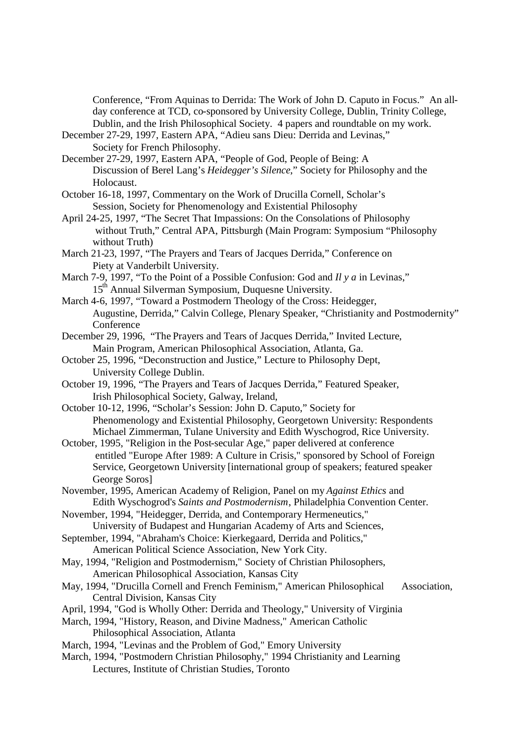Conference, "From Aquinas to Derrida: The Work of John D. Caputo in Focus." An allday conference at TCD, co-sponsored by University College, Dublin, Trinity College, Dublin, and the Irish Philosophical Society. 4 papers and roundtable on my work.

- December 27-29, 1997, Eastern APA, "Adieu sans Dieu: Derrida and Levinas," Society for French Philosophy.
- December 27-29, 1997, Eastern APA, "People of God, People of Being: A Discussion of Berel Lang's *Heidegger's Silence*," Society for Philosophy and the Holocaust.
- October 16-18, 1997, Commentary on the Work of Drucilla Cornell, Scholar's Session, Society for Phenomenology and Existential Philosophy
- April 24-25, 1997, "The Secret That Impassions: On the Consolations of Philosophy without Truth," Central APA, Pittsburgh (Main Program: Symposium "Philosophy without Truth)
- March 21-23, 1997, "The Prayers and Tears of Jacques Derrida," Conference on Piety at Vanderbilt University.
- March 7-9, 1997, "To the Point of a Possible Confusion: God and *Il y a* in Levinas," 15th Annual Silverman Symposium, Duquesne University.
- March 4-6, 1997, "Toward a Postmodern Theology of the Cross: Heidegger, Augustine, Derrida," Calvin College, Plenary Speaker, "Christianity and Postmodernity" **Conference**
- December 29, 1996, "The Prayers and Tears of Jacques Derrida," Invited Lecture, Main Program, American Philosophical Association, Atlanta, Ga.
- October 25, 1996, "Deconstruction and Justice," Lecture to Philosophy Dept, University College Dublin.
- October 19, 1996, "The Prayers and Tears of Jacques Derrida," Featured Speaker, Irish Philosophical Society, Galway, Ireland,
- October 10-12, 1996, "Scholar's Session: John D. Caputo," Society for Phenomenology and Existential Philosophy, Georgetown University: Respondents Michael Zimmerman, Tulane University and Edith Wyschogrod, Rice University.
- October, 1995, "Religion in the Post-secular Age," paper delivered at conference entitled "Europe After 1989: A Culture in Crisis," sponsored by School of Foreign Service, Georgetown University [international group of speakers; featured speaker George Soros]
- November, 1995, American Academy of Religion, Panel on my *Against Ethics* and Edith Wyschogrod's *Saints and Postmodernism*, Philadelphia Convention Center.
- November, 1994, "Heidegger, Derrida, and Contemporary Hermeneutics," University of Budapest and Hungarian Academy of Arts and Sciences,
- September, 1994, "Abraham's Choice: Kierkegaard, Derrida and Politics," American Political Science Association, New York City.
- May, 1994, "Religion and Postmodernism," Society of Christian Philosophers, American Philosophical Association, Kansas City
- May, 1994, "Drucilla Cornell and French Feminism," American Philosophical Association, Central Division, Kansas City
- April, 1994, "God is Wholly Other: Derrida and Theology," University of Virginia
- March, 1994, "History, Reason, and Divine Madness," American Catholic Philosophical Association, Atlanta
- March, 1994, "Levinas and the Problem of God," Emory University
- March, 1994, "Postmodern Christian Philosophy," 1994 Christianity and Learning Lectures, Institute of Christian Studies, Toronto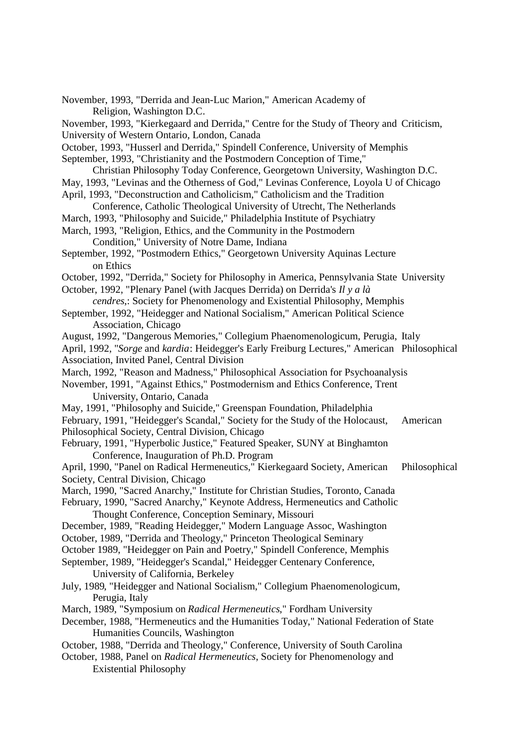November, 1993, "Derrida and Jean-Luc Marion," American Academy of Religion, Washington D.C. November, 1993, "Kierkegaard and Derrida," Centre for the Study of Theory and Criticism, University of Western Ontario, London, Canada October, 1993, "Husserl and Derrida," Spindell Conference, University of Memphis September, 1993, "Christianity and the Postmodern Conception of Time," Christian Philosophy Today Conference, Georgetown University, Washington D.C. May, 1993, "Levinas and the Otherness of God," Levinas Conference, Loyola U of Chicago April, 1993, "Deconstruction and Catholicism," Catholicism and the Tradition Conference, Catholic Theological University of Utrecht, The Netherlands March, 1993, "Philosophy and Suicide," Philadelphia Institute of Psychiatry March, 1993, "Religion, Ethics, and the Community in the Postmodern Condition," University of Notre Dame, Indiana September, 1992, "Postmodern Ethics," Georgetown University Aquinas Lecture on Ethics October, 1992, "Derrida," Society for Philosophy in America, Pennsylvania State University October, 1992, "Plenary Panel (with Jacques Derrida) on Derrida's *Il y a là cendres*,: Society for Phenomenology and Existential Philosophy, Memphis September, 1992, "Heidegger and National Socialism," American Political Science Association, Chicago August, 1992, "Dangerous Memories," Collegium Phaenomenologicum, Perugia, Italy April, 1992, "*Sorge* and *kardia*: Heidegger's Early Freiburg Lectures," American Philosophical Association, Invited Panel, Central Division March, 1992, "Reason and Madness," Philosophical Association for Psychoanalysis November, 1991, "Against Ethics," Postmodernism and Ethics Conference, Trent University, Ontario, Canada May, 1991, "Philosophy and Suicide," Greenspan Foundation, Philadelphia February, 1991, "Heidegger's Scandal," Society for the Study of the Holocaust, American Philosophical Society, Central Division, Chicago February, 1991, "Hyperbolic Justice," Featured Speaker, SUNY at Binghamton Conference, Inauguration of Ph.D. Program April, 1990, "Panel on Radical Hermeneutics," Kierkegaard Society, American Philosophical Society, Central Division, Chicago March, 1990, "Sacred Anarchy," Institute for Christian Studies, Toronto, Canada February, 1990, "Sacred Anarchy," Keynote Address, Hermeneutics and Catholic Thought Conference, Conception Seminary, Missouri December, 1989, "Reading Heidegger," Modern Language Assoc, Washington October, 1989, "Derrida and Theology," Princeton Theological Seminary October 1989, "Heidegger on Pain and Poetry," Spindell Conference, Memphis September, 1989, "Heidegger's Scandal," Heidegger Centenary Conference, University of California, Berkeley July, 1989, "Heidegger and National Socialism," Collegium Phaenomenologicum, Perugia, Italy March, 1989, "Symposium on *Radical Hermeneutics*," Fordham University December, 1988, "Hermeneutics and the Humanities Today," National Federation of State Humanities Councils, Washington October, 1988, "Derrida and Theology," Conference, University of South Carolina October, 1988, Panel on *Radical Hermeneutics*, Society for Phenomenology and Existential Philosophy